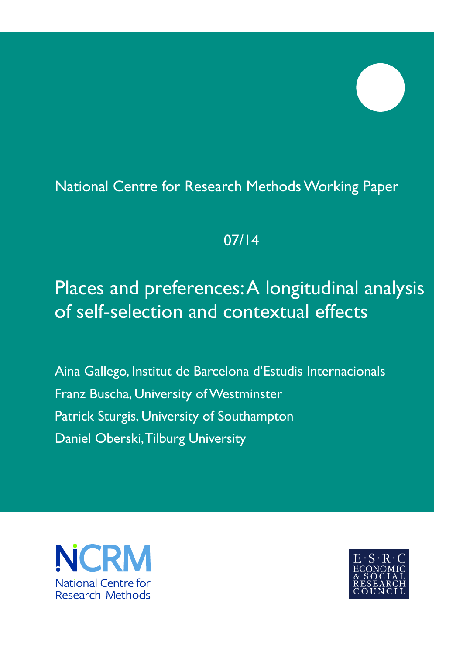## National Centre for Research Methods Working Paper

## 07/14

# Places and preferences: A longitudinal analysis of self-selection and contextual effects

Aina Gallego, Institut de Barcelona d'Estudis Internacionals Franz Buscha, University of Westminster Patrick Sturgis, University of Southampton Daniel Oberski, Tilburg University



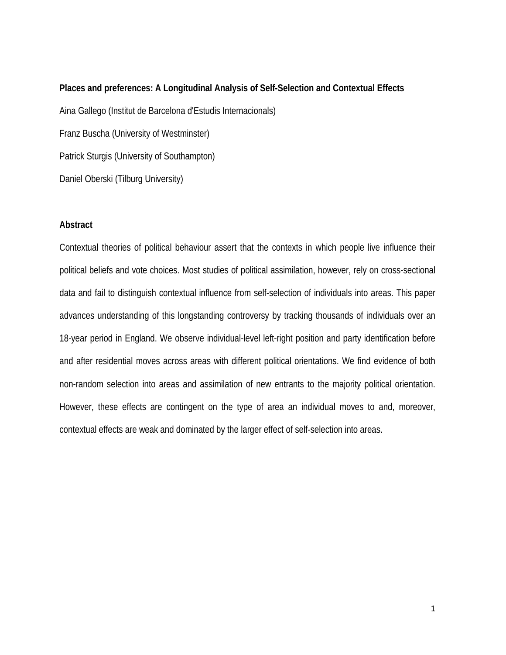# **Places and preferences: A Longitudinal Analysis of Self-Selection and Contextual Effects** Aina Gallego (Institut de Barcelona d'Estudis Internacionals) Franz Buscha (University of Westminster) Patrick Sturgis (University of Southampton) Daniel Oberski (Tilburg University)

#### **Abstract**

Contextual theories of political behaviour assert that the contexts in which people live influence their political beliefs and vote choices. Most studies of political assimilation, however, rely on cross-sectional data and fail to distinguish contextual influence from self-selection of individuals into areas. This paper advances understanding of this longstanding controversy by tracking thousands of individuals over an 18-year period in England. We observe individual-level left-right position and party identification before and after residential moves across areas with different political orientations. We find evidence of both non-random selection into areas and assimilation of new entrants to the majority political orientation. However, these effects are contingent on the type of area an individual moves to and, moreover, contextual effects are weak and dominated by the larger effect of self-selection into areas.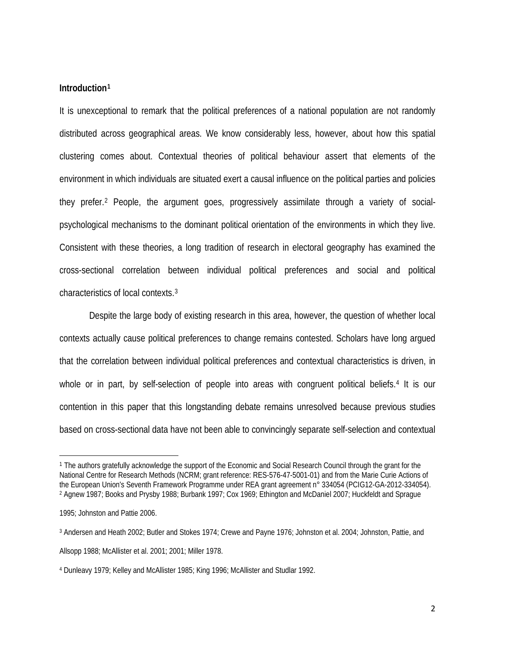#### **Introduction[1](#page-2-0)**

It is unexceptional to remark that the political preferences of a national population are not randomly distributed across geographical areas. We know considerably less, however, about how this spatial clustering comes about. Contextual theories of political behaviour assert that elements of the environment in which individuals are situated exert a causal influence on the political parties and policies they prefer.[2](#page-2-1) People, the argument goes, progressively assimilate through a variety of socialpsychological mechanisms to the dominant political orientation of the environments in which they live. Consistent with these theories, a long tradition of research in electoral geography has examined the cross-sectional correlation between individual political preferences and social and political characteristics of local contexts.[3](#page-2-2)

Despite the large body of existing research in this area, however, the question of whether local contexts actually cause political preferences to change remains contested. Scholars have long argued that the correlation between individual political preferences and contextual characteristics is driven, in whole or in part, by self-selection of people into areas with congruent political beliefs.<sup>[4](#page-2-3)</sup> It is our contention in this paper that this longstanding debate remains unresolved because previous studies based on cross-sectional data have not been able to convincingly separate self-selection and contextual

l

<span id="page-2-0"></span><sup>1</sup> The authors gratefully acknowledge the support of the Economic and Social Research Council through the grant for the National Centre for Research Methods (NCRM; grant reference: RES-576-47-5001-01) and from the Marie Curie Actions of the European Union's Seventh Framework Programme under REA grant agreement n° 334054 (PCIG12-GA-2012-334054). <sup>2</sup> Agnew 1987; Books and Prysby 1988; Burbank 1997; Cox 1969; Ethington and McDaniel 2007; Huckfeldt and Sprague

<span id="page-2-1"></span><sup>1995;</sup> Johnston and Pattie 2006.

<span id="page-2-2"></span><sup>3</sup> Andersen and Heath 2002; Butler and Stokes 1974; Crewe and Payne 1976; Johnston et al. 2004; Johnston, Pattie, and Allsopp 1988; McAllister et al. 2001; 2001; Miller 1978.

<span id="page-2-3"></span><sup>4</sup> Dunleavy 1979; Kelley and McAllister 1985; King 1996; McAllister and Studlar 1992.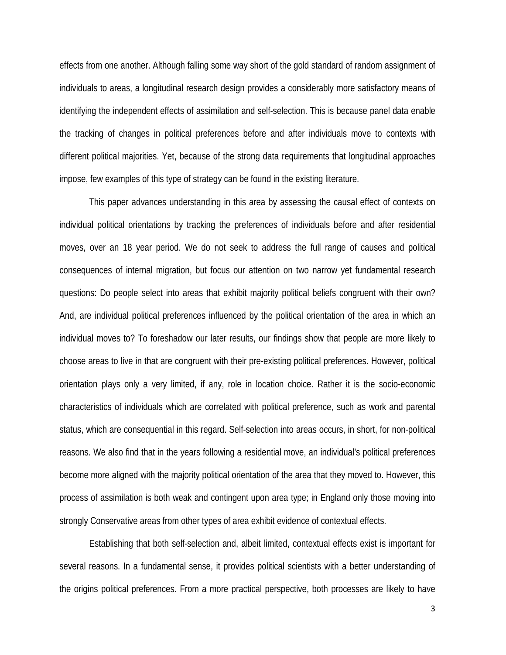effects from one another. Although falling some way short of the gold standard of random assignment of individuals to areas, a longitudinal research design provides a considerably more satisfactory means of identifying the independent effects of assimilation and self-selection. This is because panel data enable the tracking of changes in political preferences before and after individuals move to contexts with different political majorities. Yet, because of the strong data requirements that longitudinal approaches impose, few examples of this type of strategy can be found in the existing literature.

This paper advances understanding in this area by assessing the causal effect of contexts on individual political orientations by tracking the preferences of individuals before and after residential moves, over an 18 year period. We do not seek to address the full range of causes and political consequences of internal migration, but focus our attention on two narrow yet fundamental research questions: Do people select into areas that exhibit majority political beliefs congruent with their own? And, are individual political preferences influenced by the political orientation of the area in which an individual moves to? To foreshadow our later results, our findings show that people are more likely to choose areas to live in that are congruent with their pre-existing political preferences. However, political orientation plays only a very limited, if any, role in location choice. Rather it is the socio-economic characteristics of individuals which are correlated with political preference, such as work and parental status, which are consequential in this regard. Self-selection into areas occurs, in short, for non-political reasons. We also find that in the years following a residential move, an individual's political preferences become more aligned with the majority political orientation of the area that they moved to. However, this process of assimilation is both weak and contingent upon area type; in England only those moving into strongly Conservative areas from other types of area exhibit evidence of contextual effects.

Establishing that both self-selection and, albeit limited, contextual effects exist is important for several reasons. In a fundamental sense, it provides political scientists with a better understanding of the origins political preferences. From a more practical perspective, both processes are likely to have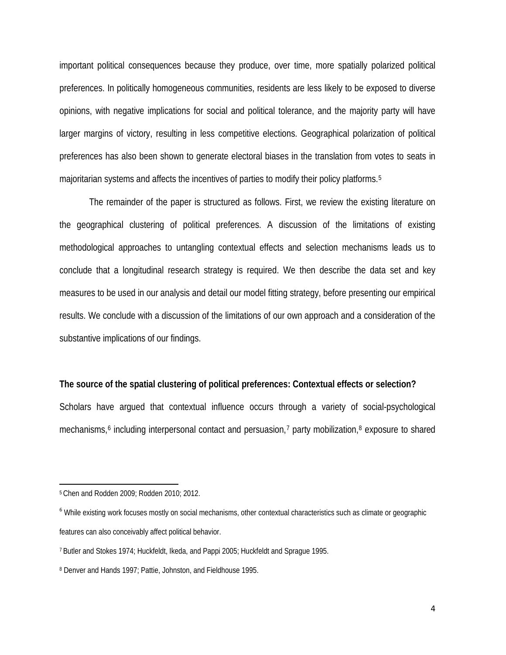important political consequences because they produce, over time, more spatially polarized political preferences. In politically homogeneous communities, residents are less likely to be exposed to diverse opinions, with negative implications for social and political tolerance, and the majority party will have larger margins of victory, resulting in less competitive elections. Geographical polarization of political preferences has also been shown to generate electoral biases in the translation from votes to seats in majoritarian systems and affects the incentives of parties to modify their policy platforms.[5](#page-4-0)

The remainder of the paper is structured as follows. First, we review the existing literature on the geographical clustering of political preferences. A discussion of the limitations of existing methodological approaches to untangling contextual effects and selection mechanisms leads us to conclude that a longitudinal research strategy is required. We then describe the data set and key measures to be used in our analysis and detail our model fitting strategy, before presenting our empirical results. We conclude with a discussion of the limitations of our own approach and a consideration of the substantive implications of our findings.

#### **The source of the spatial clustering of political preferences: Contextual effects or selection?**

Scholars have argued that contextual influence occurs through a variety of social-psychological mechanisms,<sup>6</sup> including interpersonal contact and persuasion,<sup>[7](#page-4-2)</sup> party mobilization,<sup>8</sup> exposure to shared

l

<span id="page-4-0"></span><sup>5</sup> Chen and Rodden 2009; Rodden 2010; 2012.

<span id="page-4-1"></span><sup>&</sup>lt;sup>6</sup> While existing work focuses mostly on social mechanisms, other contextual characteristics such as climate or geographic features can also conceivably affect political behavior.

<span id="page-4-2"></span><sup>7</sup> Butler and Stokes 1974; Huckfeldt, Ikeda, and Pappi 2005; Huckfeldt and Sprague 1995.

<span id="page-4-3"></span><sup>8</sup> Denver and Hands 1997; Pattie, Johnston, and Fieldhouse 1995.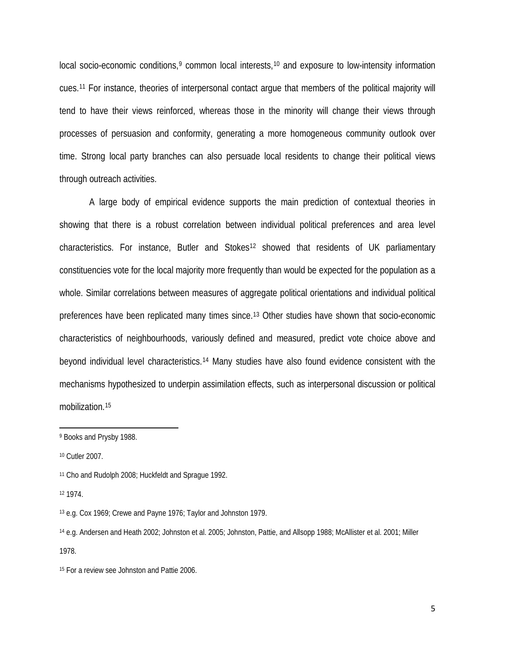local socio-economic conditions,<sup>9</sup> common local interests,<sup>[10](#page-5-1)</sup> and exposure to low-intensity information cues.[11](#page-5-2) For instance, theories of interpersonal contact argue that members of the political majority will tend to have their views reinforced, whereas those in the minority will change their views through processes of persuasion and conformity, generating a more homogeneous community outlook over time. Strong local party branches can also persuade local residents to change their political views through outreach activities.

A large body of empirical evidence supports the main prediction of contextual theories in showing that there is a robust correlation between individual political preferences and area level characteristics. For instance, Butler and Stokes<sup>12</sup> showed that residents of UK parliamentary constituencies vote for the local majority more frequently than would be expected for the population as a whole. Similar correlations between measures of aggregate political orientations and individual political preferences have been replicated many times since[.13](#page-5-4) Other studies have shown that socio-economic characteristics of neighbourhoods, variously defined and measured, predict vote choice above and beyond individual level characteristics.[14](#page-5-5) Many studies have also found evidence consistent with the mechanisms hypothesized to underpin assimilation effects, such as interpersonal discussion or political mobilization.[15](#page-5-6)

l

<span id="page-5-0"></span><sup>9</sup> Books and Prysby 1988.

<span id="page-5-1"></span><sup>10</sup> Cutler 2007.

<span id="page-5-2"></span><sup>11</sup> Cho and Rudolph 2008; Huckfeldt and Sprague 1992.

<span id="page-5-3"></span><sup>12</sup> 1974.

<span id="page-5-4"></span><sup>13</sup> e.g. Cox 1969; Crewe and Payne 1976; Taylor and Johnston 1979.

<span id="page-5-5"></span><sup>14</sup> e.g. Andersen and Heath 2002; Johnston et al. 2005; Johnston, Pattie, and Allsopp 1988; McAllister et al. 2001; Miller 1978.

<span id="page-5-6"></span><sup>15</sup> For a review see Johnston and Pattie 2006.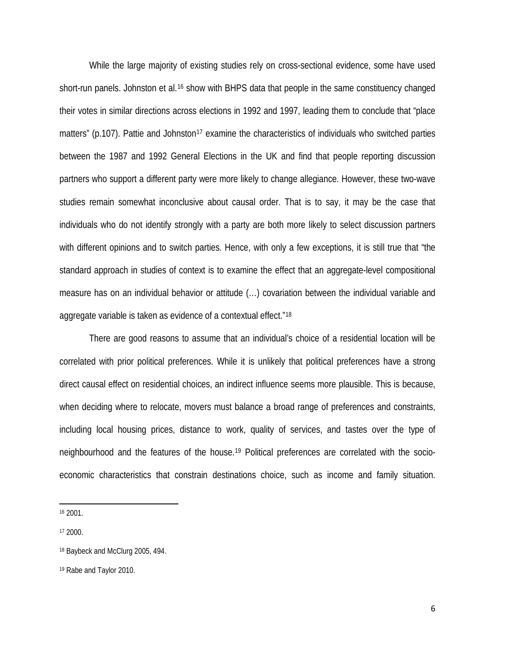While the large majority of existing studies rely on cross-sectional evidence, some have used short-run panels. Johnston et al.<sup>[16](#page-6-0)</sup> show with BHPS data that people in the same constituency changed their votes in similar directions across elections in 1992 and 1997, leading them to conclude that "place matters" (p.107). Pattie and Johnston<sup>[17](#page-6-1)</sup> examine the characteristics of individuals who switched parties between the 1987 and 1992 General Elections in the UK and find that people reporting discussion partners who support a different party were more likely to change allegiance. However, these two-wave studies remain somewhat inconclusive about causal order. That is to say, it may be the case that individuals who do not identify strongly with a party are both more likely to select discussion partners with different opinions and to switch parties. Hence, with only a few exceptions, it is still true that "the standard approach in studies of context is to examine the effect that an aggregate-level compositional measure has on an individual behavior or attitude (…) covariation between the individual variable and aggregate variable is taken as evidence of a contextual effect."[18](#page-6-2)

There are good reasons to assume that an individual's choice of a residential location will be correlated with prior political preferences. While it is unlikely that political preferences have a strong direct causal effect on residential choices, an indirect influence seems more plausible. This is because, when deciding where to relocate, movers must balance a broad range of preferences and constraints, including local housing prices, distance to work, quality of services, and tastes over the type of neighbourhood and the features of the house[.19](#page-6-3) Political preferences are correlated with the socioeconomic characteristics that constrain destinations choice, such as income and family situation.

<span id="page-6-0"></span><sup>16</sup> 2001.

l

<span id="page-6-1"></span><sup>17</sup> 2000.

<span id="page-6-2"></span><sup>18</sup> Baybeck and McClurg 2005, 494.

<span id="page-6-3"></span><sup>19</sup> Rabe and Taylor 2010.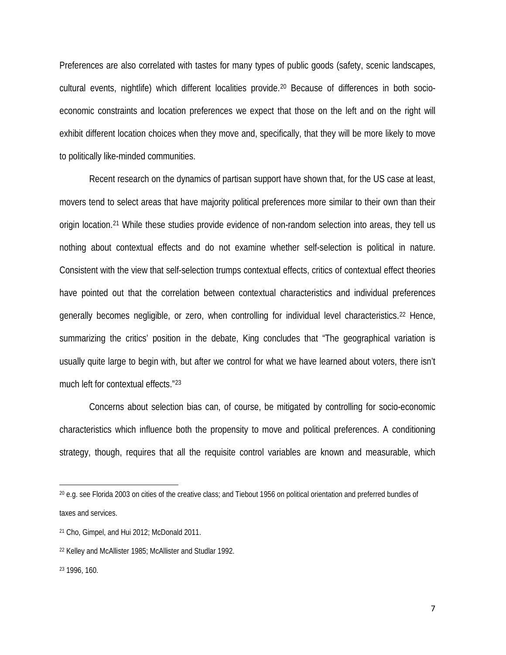Preferences are also correlated with tastes for many types of public goods (safety, scenic landscapes, cultural events, nightlife) which different localities provide.[20](#page-7-0) Because of differences in both socioeconomic constraints and location preferences we expect that those on the left and on the right will exhibit different location choices when they move and, specifically, that they will be more likely to move to politically like-minded communities.

Recent research on the dynamics of partisan support have shown that, for the US case at least, movers tend to select areas that have majority political preferences more similar to their own than their origin location.[21](#page-7-1) While these studies provide evidence of non-random selection into areas, they tell us nothing about contextual effects and do not examine whether self-selection is political in nature. Consistent with the view that self-selection trumps contextual effects, critics of contextual effect theories have pointed out that the correlation between contextual characteristics and individual preferences generally becomes negligible, or zero, when controlling for individual level characteristics.<sup>[22](#page-7-2)</sup> Hence, summarizing the critics' position in the debate, King concludes that "The geographical variation is usually quite large to begin with, but after we control for what we have learned about voters, there isn't much left for contextual effects."[23](#page-7-3)

Concerns about selection bias can, of course, be mitigated by controlling for socio-economic characteristics which influence both the propensity to move and political preferences. A conditioning strategy, though, requires that all the requisite control variables are known and measurable, which

l

<span id="page-7-0"></span><sup>20</sup> e.g. see Florida 2003 on cities of the creative class; and Tiebout 1956 on political orientation and preferred bundles of taxes and services.

<span id="page-7-1"></span><sup>21</sup> Cho, Gimpel, and Hui 2012; McDonald 2011.

<span id="page-7-2"></span><sup>22</sup> Kelley and McAllister 1985; McAllister and Studlar 1992.

<span id="page-7-3"></span><sup>23</sup> 1996, 160.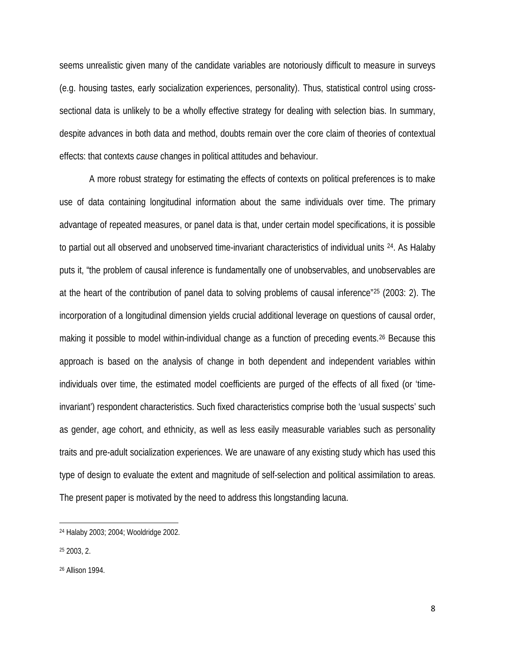seems unrealistic given many of the candidate variables are notoriously difficult to measure in surveys (e.g. housing tastes, early socialization experiences, personality). Thus, statistical control using crosssectional data is unlikely to be a wholly effective strategy for dealing with selection bias. In summary, despite advances in both data and method, doubts remain over the core claim of theories of contextual effects: that contexts *cause* changes in political attitudes and behaviour.

A more robust strategy for estimating the effects of contexts on political preferences is to make use of data containing longitudinal information about the same individuals over time. The primary advantage of repeated measures, or panel data is that, under certain model specifications, it is possible to partial out all observed and unobserved time-invariant characteristics of individual units [24](#page-8-0). As Halaby puts it, "the problem of causal inference is fundamentally one of unobservables, and unobservables are at the heart of the contribution of panel data to solving problems of causal inference"[25](#page-8-1) (2003: 2). The incorporation of a longitudinal dimension yields crucial additional leverage on questions of causal order, making it possible to model within-individual change as a function of preceding events.<sup>[26](#page-8-2)</sup> Because this approach is based on the analysis of change in both dependent and independent variables within individuals over time, the estimated model coefficients are purged of the effects of all fixed (or 'timeinvariant') respondent characteristics. Such fixed characteristics comprise both the 'usual suspects' such as gender, age cohort, and ethnicity, as well as less easily measurable variables such as personality traits and pre-adult socialization experiences. We are unaware of any existing study which has used this type of design to evaluate the extent and magnitude of self-selection and political assimilation to areas. The present paper is motivated by the need to address this longstanding lacuna.

l

<span id="page-8-0"></span><sup>24</sup> Halaby 2003; 2004; Wooldridge 2002.

<span id="page-8-1"></span><sup>25</sup> 2003, 2.

<span id="page-8-2"></span><sup>26</sup> Allison 1994.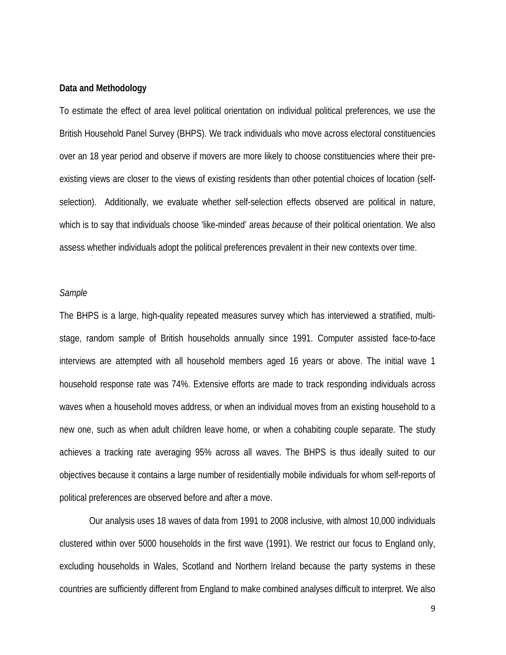#### **Data and Methodology**

To estimate the effect of area level political orientation on individual political preferences, we use the British Household Panel Survey (BHPS). We track individuals who move across electoral constituencies over an 18 year period and observe if movers are more likely to choose constituencies where their preexisting views are closer to the views of existing residents than other potential choices of location (selfselection). Additionally, we evaluate whether self-selection effects observed are political in nature, which is to say that individuals choose 'like-minded' areas *because* of their political orientation. We also assess whether individuals adopt the political preferences prevalent in their new contexts over time.

#### *Sample*

The BHPS is a large, high-quality repeated measures survey which has interviewed a stratified, multistage, random sample of British households annually since 1991. Computer assisted face-to-face interviews are attempted with all household members aged 16 years or above. The initial wave 1 household response rate was 74%. Extensive efforts are made to track responding individuals across waves when a household moves address, or when an individual moves from an existing household to a new one, such as when adult children leave home, or when a cohabiting couple separate. The study achieves a tracking rate averaging 95% across all waves. The BHPS is thus ideally suited to our objectives because it contains a large number of residentially mobile individuals for whom self-reports of political preferences are observed before and after a move.

Our analysis uses 18 waves of data from 1991 to 2008 inclusive, with almost 10,000 individuals clustered within over 5000 households in the first wave (1991). We restrict our focus to England only, excluding households in Wales, Scotland and Northern Ireland because the party systems in these countries are sufficiently different from England to make combined analyses difficult to interpret. We also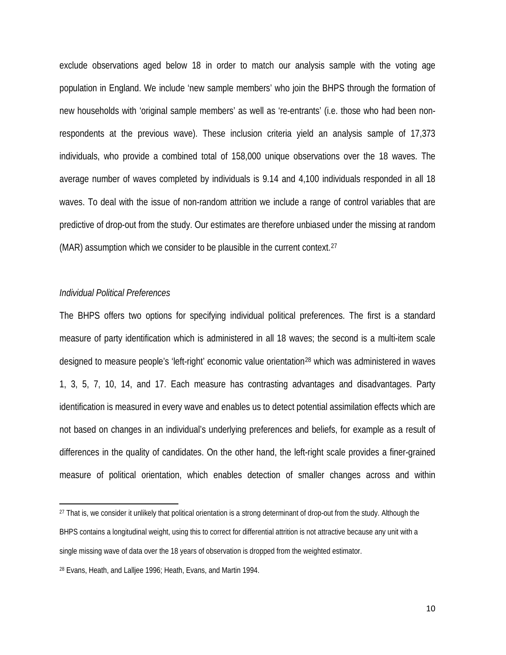exclude observations aged below 18 in order to match our analysis sample with the voting age population in England. We include 'new sample members' who join the BHPS through the formation of new households with 'original sample members' as well as 're-entrants' (i.e. those who had been nonrespondents at the previous wave). These inclusion criteria yield an analysis sample of 17,373 individuals, who provide a combined total of 158,000 unique observations over the 18 waves. The average number of waves completed by individuals is 9.14 and 4,100 individuals responded in all 18 waves. To deal with the issue of non-random attrition we include a range of control variables that are predictive of drop-out from the study. Our estimates are therefore unbiased under the missing at random (MAR) assumption which we consider to be plausible in the current context.<sup>[27](#page-10-0)</sup>

#### *Individual Political Preferences*

l

The BHPS offers two options for specifying individual political preferences. The first is a standard measure of party identification which is administered in all 18 waves; the second is a multi-item scale designed to measure people's 'left-right' economic value orientation[28](#page-10-1) which was administered in waves 1, 3, 5, 7, 10, 14, and 17. Each measure has contrasting advantages and disadvantages. Party identification is measured in every wave and enables us to detect potential assimilation effects which are not based on changes in an individual's underlying preferences and beliefs, for example as a result of differences in the quality of candidates. On the other hand, the left-right scale provides a finer-grained measure of political orientation, which enables detection of smaller changes across and within

<span id="page-10-0"></span><sup>&</sup>lt;sup>27</sup> That is, we consider it unlikely that political orientation is a strong determinant of drop-out from the study. Although the BHPS contains a longitudinal weight, using this to correct for differential attrition is not attractive because any unit with a single missing wave of data over the 18 years of observation is dropped from the weighted estimator.

<span id="page-10-1"></span><sup>28</sup> Evans, Heath, and Lalljee 1996; Heath, Evans, and Martin 1994.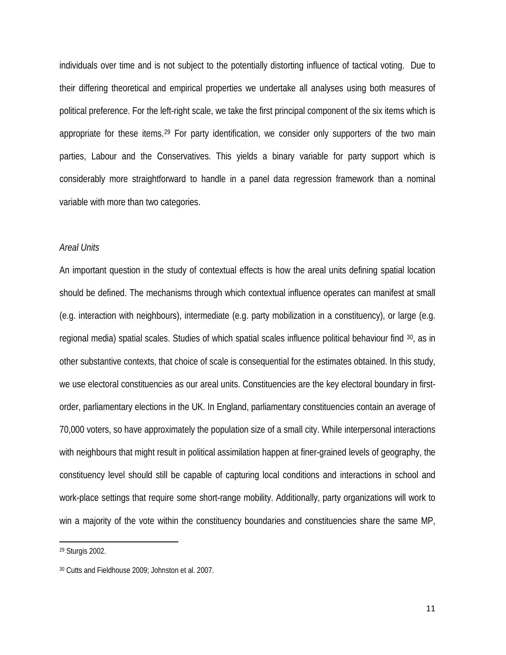individuals over time and is not subject to the potentially distorting influence of tactical voting. Due to their differing theoretical and empirical properties we undertake all analyses using both measures of political preference. For the left-right scale, we take the first principal component of the six items which is appropriate for these items.[29](#page-11-0) For party identification, we consider only supporters of the two main parties, Labour and the Conservatives. This yields a binary variable for party support which is considerably more straightforward to handle in a panel data regression framework than a nominal variable with more than two categories.

#### *Areal Units*

An important question in the study of contextual effects is how the areal units defining spatial location should be defined. The mechanisms through which contextual influence operates can manifest at small (e.g. interaction with neighbours), intermediate (e.g. party mobilization in a constituency), or large (e.g. regional media) spatial scales. Studies of which spatial scales influence political behaviour find [30,](#page-11-1) as in other substantive contexts, that choice of scale is consequential for the estimates obtained. In this study, we use electoral constituencies as our areal units. Constituencies are the key electoral boundary in firstorder, parliamentary elections in the UK. In England, parliamentary constituencies contain an average of 70,000 voters, so have approximately the population size of a small city. While interpersonal interactions with neighbours that might result in political assimilation happen at finer-grained levels of geography, the constituency level should still be capable of capturing local conditions and interactions in school and work-place settings that require some short-range mobility. Additionally, party organizations will work to win a majority of the vote within the constituency boundaries and constituencies share the same MP,

 $\overline{\phantom{a}}$ 

<span id="page-11-0"></span><sup>29</sup> Sturgis 2002.

<span id="page-11-1"></span><sup>30</sup> Cutts and Fieldhouse 2009; Johnston et al. 2007.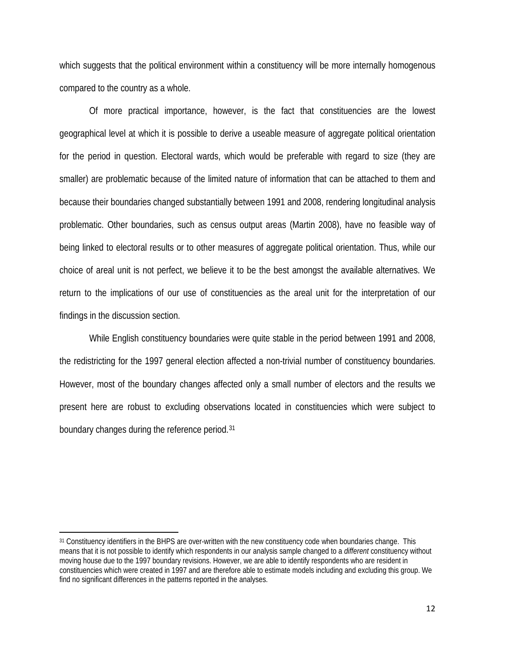which suggests that the political environment within a constituency will be more internally homogenous compared to the country as a whole.

Of more practical importance, however, is the fact that constituencies are the lowest geographical level at which it is possible to derive a useable measure of aggregate political orientation for the period in question. Electoral wards, which would be preferable with regard to size (they are smaller) are problematic because of the limited nature of information that can be attached to them and because their boundaries changed substantially between 1991 and 2008, rendering longitudinal analysis problematic. Other boundaries, such as census output areas (Martin 2008), have no feasible way of being linked to electoral results or to other measures of aggregate political orientation. Thus, while our choice of areal unit is not perfect, we believe it to be the best amongst the available alternatives. We return to the implications of our use of constituencies as the areal unit for the interpretation of our findings in the discussion section.

While English constituency boundaries were quite stable in the period between 1991 and 2008, the redistricting for the 1997 general election affected a non-trivial number of constituency boundaries. However, most of the boundary changes affected only a small number of electors and the results we present here are robust to excluding observations located in constituencies which were subject to boundary changes during the reference period.[31](#page-12-0)

 $\overline{\phantom{a}}$ 

<span id="page-12-0"></span><sup>31</sup> Constituency identifiers in the BHPS are over-written with the new constituency code when boundaries change. This means that it is not possible to identify which respondents in our analysis sample changed to a *different* constituency without moving house due to the 1997 boundary revisions. However, we are able to identify respondents who are resident in constituencies which were created in 1997 and are therefore able to estimate models including and excluding this group. We find no significant differences in the patterns reported in the analyses.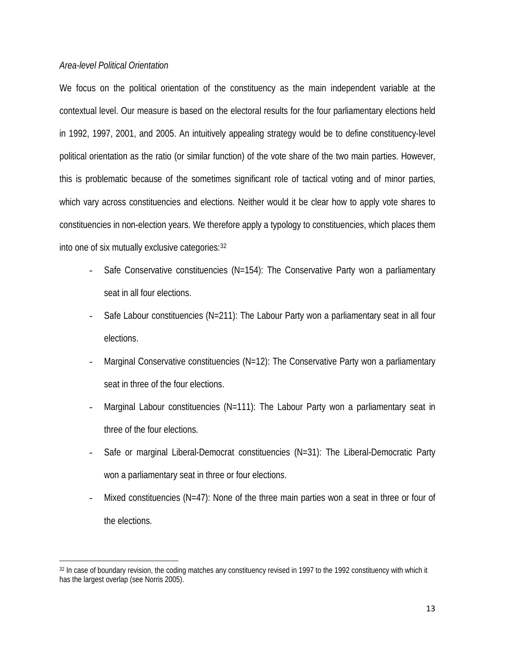#### *Area-level Political Orientation*

 $\overline{\phantom{a}}$ 

We focus on the political orientation of the constituency as the main independent variable at the contextual level. Our measure is based on the electoral results for the four parliamentary elections held in 1992, 1997, 2001, and 2005. An intuitively appealing strategy would be to define constituency-level political orientation as the ratio (or similar function) of the vote share of the two main parties. However, this is problematic because of the sometimes significant role of tactical voting and of minor parties, which vary across constituencies and elections. Neither would it be clear how to apply vote shares to constituencies in non-election years. We therefore apply a typology to constituencies, which places them into one of six mutually exclusive categories:[32](#page-13-0)

- Safe Conservative constituencies (N=154): The Conservative Party won a parliamentary seat in all four elections.
- Safe Labour constituencies (N=211): The Labour Party won a parliamentary seat in all four elections.
- Marginal Conservative constituencies (N=12): The Conservative Party won a parliamentary seat in three of the four elections.
- Marginal Labour constituencies (N=111): The Labour Party won a parliamentary seat in three of the four elections.
- Safe or marginal Liberal-Democrat constituencies (N=31): The Liberal-Democratic Party won a parliamentary seat in three or four elections.
- Mixed constituencies (N=47): None of the three main parties won a seat in three or four of the elections.

<span id="page-13-0"></span><sup>32</sup> In case of boundary revision, the coding matches any constituency revised in 1997 to the 1992 constituency with which it has the largest overlap (see Norris 2005).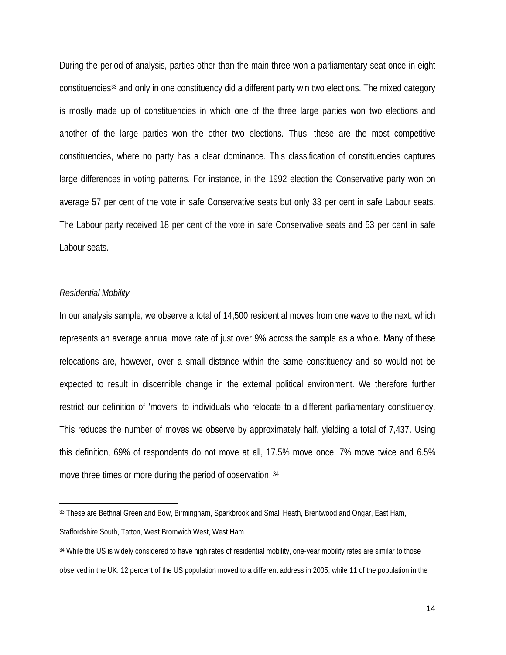During the period of analysis, parties other than the main three won a parliamentary seat once in eight constituencies[33](#page-14-0) and only in one constituency did a different party win two elections. The mixed category is mostly made up of constituencies in which one of the three large parties won two elections and another of the large parties won the other two elections. Thus, these are the most competitive constituencies, where no party has a clear dominance. This classification of constituencies captures large differences in voting patterns. For instance, in the 1992 election the Conservative party won on average 57 per cent of the vote in safe Conservative seats but only 33 per cent in safe Labour seats. The Labour party received 18 per cent of the vote in safe Conservative seats and 53 per cent in safe Labour seats.

#### *Residential Mobility*

l

In our analysis sample, we observe a total of 14,500 residential moves from one wave to the next, which represents an average annual move rate of just over 9% across the sample as a whole. Many of these relocations are, however, over a small distance within the same constituency and so would not be expected to result in discernible change in the external political environment. We therefore further restrict our definition of 'movers' to individuals who relocate to a different parliamentary constituency. This reduces the number of moves we observe by approximately half, yielding a total of 7,437. Using this definition, 69% of respondents do not move at all, 17.5% move once, 7% move twice and 6.5% move three times or more during the period of observation. [34](#page-14-1)

<span id="page-14-0"></span><sup>33</sup> These are Bethnal Green and Bow, Birmingham, Sparkbrook and Small Heath, Brentwood and Ongar, East Ham, Staffordshire South, Tatton, West Bromwich West, West Ham.

<span id="page-14-1"></span><sup>34</sup> While the US is widely considered to have high rates of residential mobility, one-year mobility rates are similar to those observed in the UK. 12 percent of the US population moved to a different address in 2005, while 11 of the population in the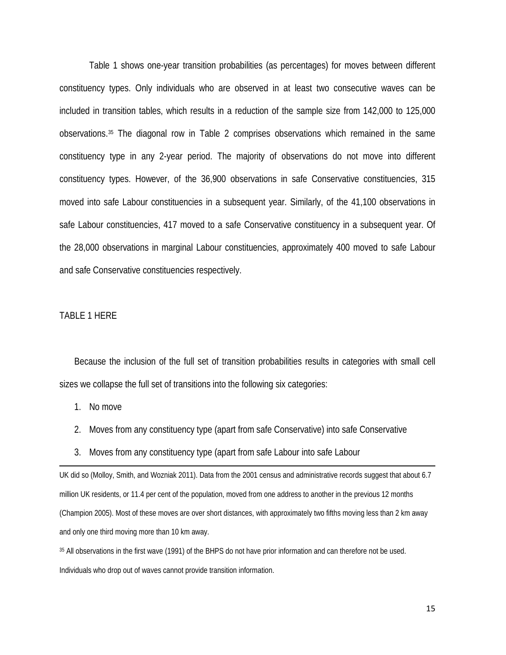Table 1 shows one-year transition probabilities (as percentages) for moves between different constituency types. Only individuals who are observed in at least two consecutive waves can be included in transition tables, which results in a reduction of the sample size from 142,000 to 125,000 observations.[35](#page-15-0) The diagonal row in Table 2 comprises observations which remained in the same constituency type in any 2-year period. The majority of observations do not move into different constituency types. However, of the 36,900 observations in safe Conservative constituencies, 315 moved into safe Labour constituencies in a subsequent year. Similarly, of the 41,100 observations in safe Labour constituencies, 417 moved to a safe Conservative constituency in a subsequent year. Of the 28,000 observations in marginal Labour constituencies, approximately 400 moved to safe Labour and safe Conservative constituencies respectively.

#### TABLE 1 HERE

Because the inclusion of the full set of transition probabilities results in categories with small cell sizes we collapse the full set of transitions into the following six categories:

1. No move

 $\overline{\phantom{a}}$ 

- 2. Moves from any constituency type (apart from safe Conservative) into safe Conservative
- 3. Moves from any constituency type (apart from safe Labour into safe Labour

UK did so (Molloy, Smith, and Wozniak 2011). Data from the 2001 census and administrative records suggest that about 6.7 million UK residents, or 11.4 per cent of the population, moved from one address to another in the previous 12 months (Champion 2005). Most of these moves are over short distances, with approximately two fifths moving less than 2 km away and only one third moving more than 10 km away.

<span id="page-15-0"></span><sup>35</sup> All observations in the first wave (1991) of the BHPS do not have prior information and can therefore not be used. Individuals who drop out of waves cannot provide transition information.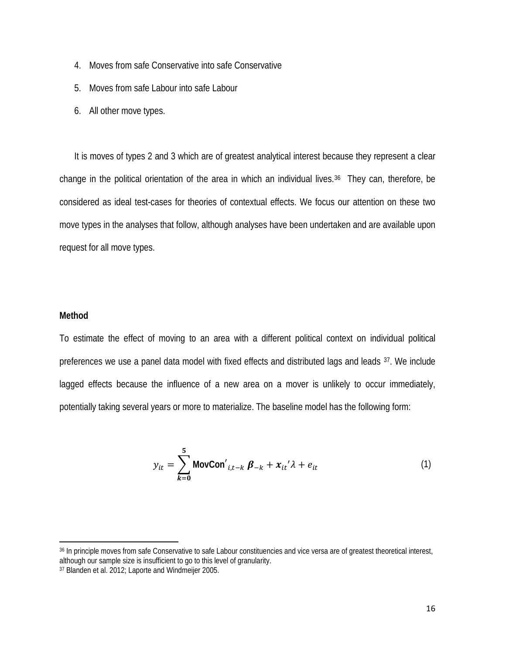- 4. Moves from safe Conservative into safe Conservative
- 5. Moves from safe Labour into safe Labour
- 6. All other move types.

It is moves of types 2 and 3 which are of greatest analytical interest because they represent a clear change in the political orientation of the area in which an individual lives.<sup>[36](#page-16-0)</sup> They can, therefore, be considered as ideal test-cases for theories of contextual effects. We focus our attention on these two move types in the analyses that follow, although analyses have been undertaken and are available upon request for all move types.

#### **Method**

 $\overline{\phantom{a}}$ 

To estimate the effect of moving to an area with a different political context on individual political preferences we use a panel data model with fixed effects and distributed lags and leads [37.](#page-16-1) We include lagged effects because the influence of a new area on a mover is unlikely to occur immediately, potentially taking several years or more to materialize. The baseline model has the following form:

$$
y_{it} = \sum_{k=0}^{5} \text{MovCon}'_{i,t-k} \beta_{-k} + x_{it}'\lambda + e_{it}
$$
 (1)

<span id="page-16-0"></span><sup>36</sup> In principle moves from safe Conservative to safe Labour constituencies and vice versa are of greatest theoretical interest, although our sample size is insufficient to go to this level of granularity.

<span id="page-16-1"></span><sup>37</sup> Blanden et al. 2012; Laporte and Windmeijer 2005.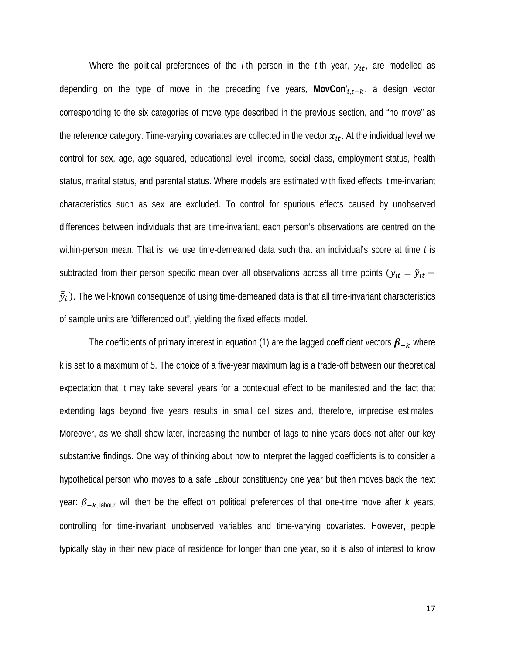Where the political preferences of the  $i$ -th person in the  $t$ -th year,  $y_{it}$ , are modelled as depending on the type of move in the preceding five years, MovCon'<sub>*i,t−k*</sub>, a design vector corresponding to the six categories of move type described in the previous section, and "no move" as the reference category. Time-varying covariates are collected in the vector  $x_{it}$ . At the individual level we control for sex, age, age squared, educational level, income, social class, employment status, health status, marital status, and parental status. Where models are estimated with fixed effects, time-invariant characteristics such as sex are excluded. To control for spurious effects caused by unobserved differences between individuals that are time-invariant, each person's observations are centred on the within-person mean. That is, we use time-demeaned data such that an individual's score at time *t* is subtracted from their person specific mean over all observations across all time points ( $y_{it} = \tilde{y}_{it}$  –  $\bar{\tilde{y}}_t$ ). The well-known consequence of using time-demeaned data is that all time-invariant characteristics of sample units are "differenced out", yielding the fixed effects model.

The coefficients of primary interest in equation (1) are the lagged coefficient vectors  $\beta_{-k}$  where k is set to a maximum of 5. The choice of a five-year maximum lag is a trade-off between our theoretical expectation that it may take several years for a contextual effect to be manifested and the fact that extending lags beyond five years results in small cell sizes and, therefore, imprecise estimates. Moreover, as we shall show later, increasing the number of lags to nine years does not alter our key substantive findings. One way of thinking about how to interpret the lagged coefficients is to consider a hypothetical person who moves to a safe Labour constituency one year but then moves back the next year:  $β_{-k}$ , labour will then be the effect on political preferences of that one-time move after *k* years, controlling for time-invariant unobserved variables and time-varying covariates. However, people typically stay in their new place of residence for longer than one year, so it is also of interest to know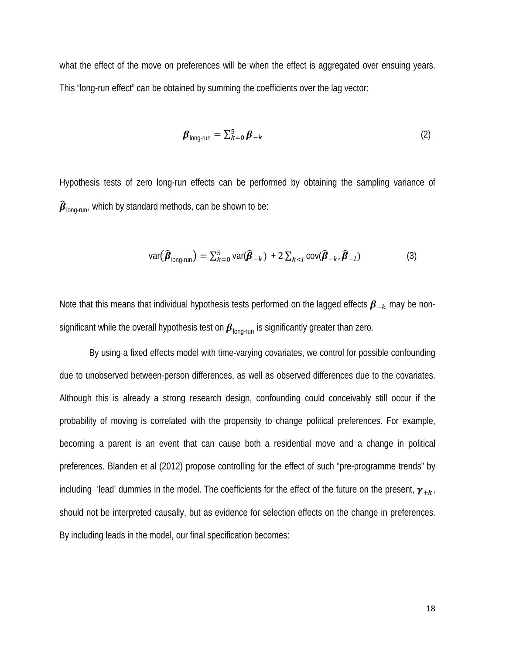what the effect of the move on preferences will be when the effect is aggregated over ensuing years. This "long-run effect" can be obtained by summing the coefficients over the lag vector:

$$
\boldsymbol{\beta}_{\text{long-run}} = \sum_{k=0}^{5} \boldsymbol{\beta}_{-k} \tag{2}
$$

Hypothesis tests of zero long-run effects can be performed by obtaining the sampling variance of  $\widehat{\boldsymbol{\beta}}_{\text{lonq-run}}$ , which by standard methods, can be shown to be:

$$
\text{var}(\widehat{\boldsymbol{\beta}}_{\text{long-run}}) = \sum_{k=0}^{5} \text{var}(\widehat{\boldsymbol{\beta}}_{-k}) + 2 \sum_{k < l} \text{cov}(\widehat{\boldsymbol{\beta}}_{-k}, \widehat{\boldsymbol{\beta}}_{-l}) \tag{3}
$$

Note that this means that individual hypothesis tests performed on the lagged effects  $\beta_{-k}$  may be nonsignificant while the overall hypothesis test on  $\beta_{\text{long-run}}$  is significantly greater than zero.

By using a fixed effects model with time-varying covariates, we control for possible confounding due to unobserved between-person differences, as well as observed differences due to the covariates. Although this is already a strong research design, confounding could conceivably still occur if the probability of moving is correlated with the propensity to change political preferences. For example, becoming a parent is an event that can cause both a residential move and a change in political preferences. Blanden et al (2012) propose controlling for the effect of such "pre-programme trends" by including 'lead' dummies in the model. The coefficients for the effect of the future on the present,  $\gamma_{+k}$ , should not be interpreted causally, but as evidence for selection effects on the change in preferences. By including leads in the model, our final specification becomes: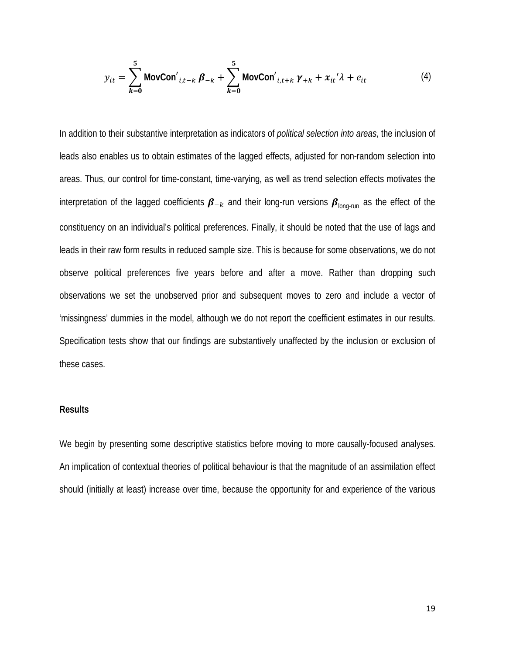$$
y_{it} = \sum_{k=0}^{5} \text{MovCon'}_{i,t-k} \beta_{-k} + \sum_{k=0}^{5} \text{MovCon'}_{i,t+k} \gamma_{+k} + x_{it'} \lambda + e_{it}
$$
 (4)

In addition to their substantive interpretation as indicators of *political selection into areas*, the inclusion of leads also enables us to obtain estimates of the lagged effects, adjusted for non-random selection into areas. Thus, our control for time-constant, time-varying, as well as trend selection effects motivates the interpretation of the lagged coefficients  $\beta_{-k}$  and their long-run versions  $\beta_{\text{long-run}}$  as the effect of the constituency on an individual's political preferences. Finally, it should be noted that the use of lags and leads in their raw form results in reduced sample size. This is because for some observations, we do not observe political preferences five years before and after a move. Rather than dropping such observations we set the unobserved prior and subsequent moves to zero and include a vector of 'missingness' dummies in the model, although we do not report the coefficient estimates in our results. Specification tests show that our findings are substantively unaffected by the inclusion or exclusion of these cases.

#### **Results**

We begin by presenting some descriptive statistics before moving to more causally-focused analyses. An implication of contextual theories of political behaviour is that the magnitude of an assimilation effect should (initially at least) increase over time, because the opportunity for and experience of the various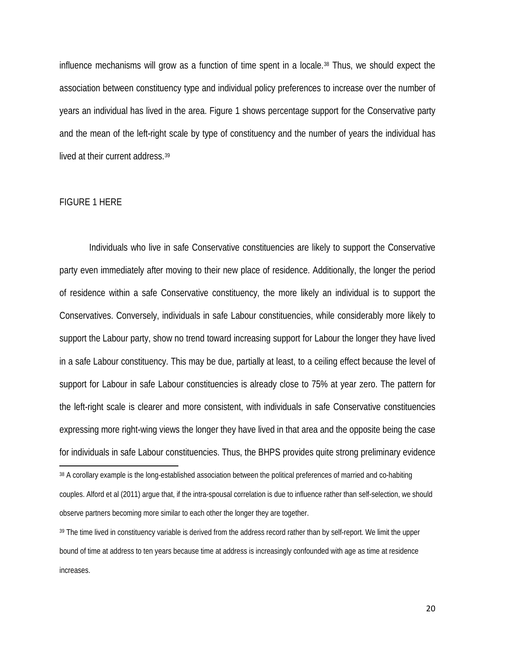influence mechanisms will grow as a function of time spent in a locale.[38](#page-20-0) Thus, we should expect the association between constituency type and individual policy preferences to increase over the number of years an individual has lived in the area. Figure 1 shows percentage support for the Conservative party and the mean of the left-right scale by type of constituency and the number of years the individual has lived at their current address.<sup>[39](#page-20-1)</sup>

#### FIGURE 1 HERE

 $\overline{\phantom{a}}$ 

Individuals who live in safe Conservative constituencies are likely to support the Conservative party even immediately after moving to their new place of residence. Additionally, the longer the period of residence within a safe Conservative constituency, the more likely an individual is to support the Conservatives. Conversely, individuals in safe Labour constituencies, while considerably more likely to support the Labour party, show no trend toward increasing support for Labour the longer they have lived in a safe Labour constituency. This may be due, partially at least, to a ceiling effect because the level of support for Labour in safe Labour constituencies is already close to 75% at year zero. The pattern for the left-right scale is clearer and more consistent, with individuals in safe Conservative constituencies expressing more right-wing views the longer they have lived in that area and the opposite being the case for individuals in safe Labour constituencies. Thus, the BHPS provides quite strong preliminary evidence

<span id="page-20-1"></span><sup>39</sup> The time lived in constituency variable is derived from the address record rather than by self-report. We limit the upper bound of time at address to ten years because time at address is increasingly confounded with age as time at residence increases.

<span id="page-20-0"></span><sup>38</sup> A corollary example is the long-established association between the political preferences of married and co-habiting couples. Alford et al (2011) argue that, if the intra-spousal correlation is due to influence rather than self-selection, we should observe partners becoming more similar to each other the longer they are together.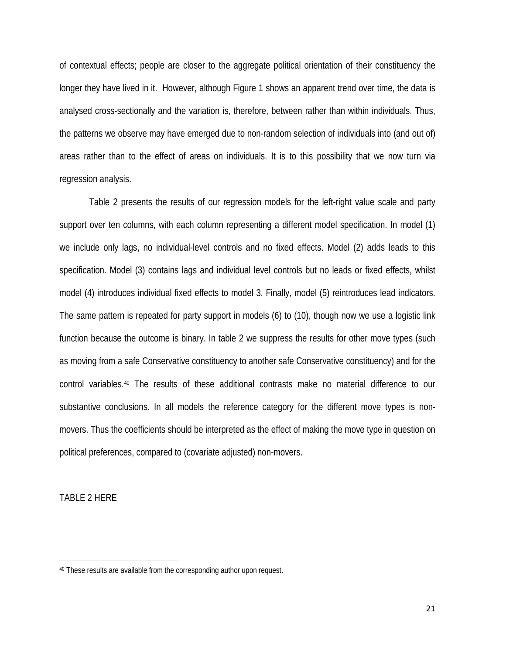of contextual effects; people are closer to the aggregate political orientation of their constituency the longer they have lived in it. However, although Figure 1 shows an apparent trend over time, the data is analysed cross-sectionally and the variation is, therefore, between rather than within individuals. Thus, the patterns we observe may have emerged due to non-random selection of individuals into (and out of) areas rather than to the effect of areas on individuals. It is to this possibility that we now turn via regression analysis.

Table 2 presents the results of our regression models for the left-right value scale and party support over ten columns, with each column representing a different model specification. In model (1) we include only lags, no individual-level controls and no fixed effects. Model (2) adds leads to this specification. Model (3) contains lags and individual level controls but no leads or fixed effects, whilst model (4) introduces individual fixed effects to model 3. Finally, model (5) reintroduces lead indicators. The same pattern is repeated for party support in models (6) to (10), though now we use a logistic link function because the outcome is binary. In table 2 we suppress the results for other move types (such as moving from a safe Conservative constituency to another safe Conservative constituency) and for the control variables.[40](#page-21-0) The results of these additional contrasts make no material difference to our substantive conclusions. In all models the reference category for the different move types is nonmovers. Thus the coefficients should be interpreted as the effect of making the move type in question on political preferences, compared to (covariate adjusted) non-movers.

TABLE 2 HERE

 $\overline{\phantom{a}}$ 

<span id="page-21-0"></span><sup>40</sup> These results are available from the corresponding author upon request.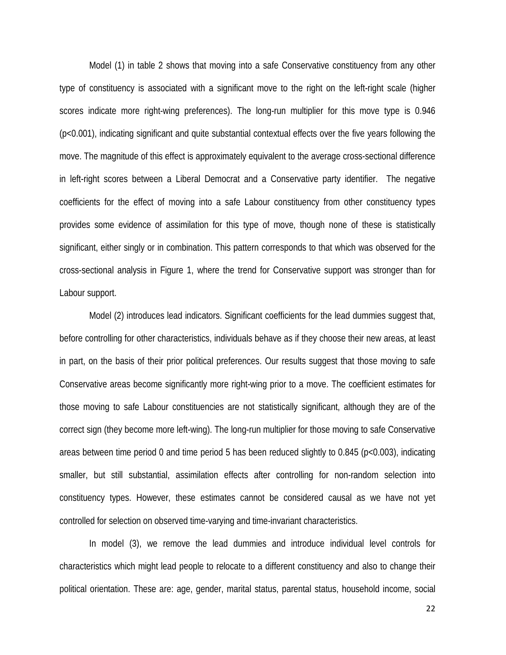Model (1) in table 2 shows that moving into a safe Conservative constituency from any other type of constituency is associated with a significant move to the right on the left-right scale (higher scores indicate more right-wing preferences). The long-run multiplier for this move type is 0.946 (p<0.001), indicating significant and quite substantial contextual effects over the five years following the move. The magnitude of this effect is approximately equivalent to the average cross-sectional difference in left-right scores between a Liberal Democrat and a Conservative party identifier. The negative coefficients for the effect of moving into a safe Labour constituency from other constituency types provides some evidence of assimilation for this type of move, though none of these is statistically significant, either singly or in combination. This pattern corresponds to that which was observed for the cross-sectional analysis in Figure 1, where the trend for Conservative support was stronger than for Labour support.

Model (2) introduces lead indicators. Significant coefficients for the lead dummies suggest that, before controlling for other characteristics, individuals behave as if they choose their new areas, at least in part, on the basis of their prior political preferences. Our results suggest that those moving to safe Conservative areas become significantly more right-wing prior to a move. The coefficient estimates for those moving to safe Labour constituencies are not statistically significant, although they are of the correct sign (they become more left-wing). The long-run multiplier for those moving to safe Conservative areas between time period 0 and time period 5 has been reduced slightly to 0.845 (p<0.003), indicating smaller, but still substantial, assimilation effects after controlling for non-random selection into constituency types. However, these estimates cannot be considered causal as we have not yet controlled for selection on observed time-varying and time-invariant characteristics.

In model (3), we remove the lead dummies and introduce individual level controls for characteristics which might lead people to relocate to a different constituency and also to change their political orientation. These are: age, gender, marital status, parental status, household income, social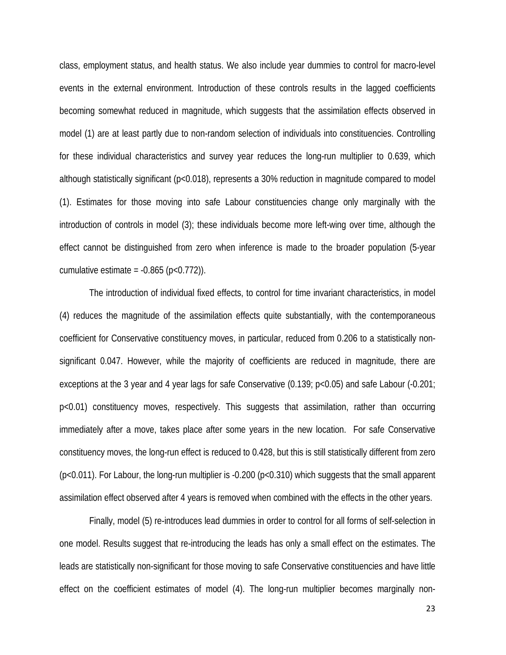class, employment status, and health status. We also include year dummies to control for macro-level events in the external environment. Introduction of these controls results in the lagged coefficients becoming somewhat reduced in magnitude, which suggests that the assimilation effects observed in model (1) are at least partly due to non-random selection of individuals into constituencies. Controlling for these individual characteristics and survey year reduces the long-run multiplier to 0.639, which although statistically significant (p<0.018), represents a 30% reduction in magnitude compared to model (1). Estimates for those moving into safe Labour constituencies change only marginally with the introduction of controls in model (3); these individuals become more left-wing over time, although the effect cannot be distinguished from zero when inference is made to the broader population (5-year cumulative estimate =  $-0.865$  (p $< 0.772$ )).

The introduction of individual fixed effects, to control for time invariant characteristics, in model (4) reduces the magnitude of the assimilation effects quite substantially, with the contemporaneous coefficient for Conservative constituency moves, in particular, reduced from 0.206 to a statistically nonsignificant 0.047. However, while the majority of coefficients are reduced in magnitude, there are exceptions at the 3 year and 4 year lags for safe Conservative (0.139; p<0.05) and safe Labour (-0.201; p<0.01) constituency moves, respectively. This suggests that assimilation, rather than occurring immediately after a move, takes place after some years in the new location. For safe Conservative constituency moves, the long-run effect is reduced to 0.428, but this is still statistically different from zero (p<0.011). For Labour, the long-run multiplier is -0.200 (p<0.310) which suggests that the small apparent assimilation effect observed after 4 years is removed when combined with the effects in the other years.

Finally, model (5) re-introduces lead dummies in order to control for all forms of self-selection in one model. Results suggest that re-introducing the leads has only a small effect on the estimates. The leads are statistically non-significant for those moving to safe Conservative constituencies and have little effect on the coefficient estimates of model (4). The long-run multiplier becomes marginally non-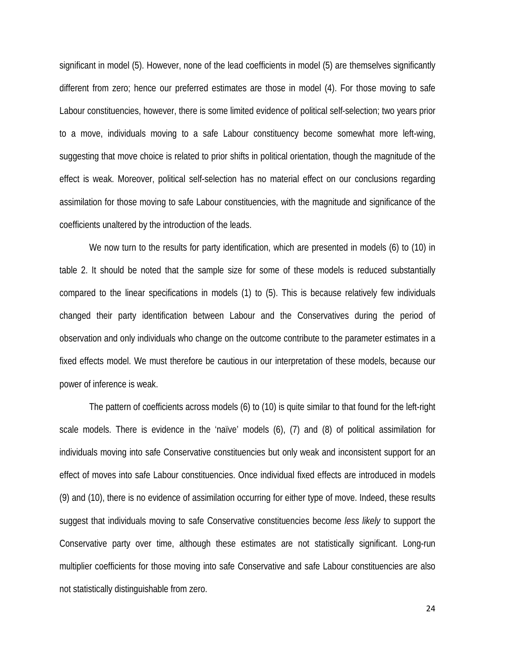significant in model (5). However, none of the lead coefficients in model (5) are themselves significantly different from zero; hence our preferred estimates are those in model (4). For those moving to safe Labour constituencies, however, there is some limited evidence of political self-selection; two years prior to a move, individuals moving to a safe Labour constituency become somewhat more left-wing, suggesting that move choice is related to prior shifts in political orientation, though the magnitude of the effect is weak. Moreover, political self-selection has no material effect on our conclusions regarding assimilation for those moving to safe Labour constituencies, with the magnitude and significance of the coefficients unaltered by the introduction of the leads.

We now turn to the results for party identification, which are presented in models (6) to (10) in table 2. It should be noted that the sample size for some of these models is reduced substantially compared to the linear specifications in models (1) to (5). This is because relatively few individuals changed their party identification between Labour and the Conservatives during the period of observation and only individuals who change on the outcome contribute to the parameter estimates in a fixed effects model. We must therefore be cautious in our interpretation of these models, because our power of inference is weak.

The pattern of coefficients across models (6) to (10) is quite similar to that found for the left-right scale models. There is evidence in the 'naïve' models (6), (7) and (8) of political assimilation for individuals moving into safe Conservative constituencies but only weak and inconsistent support for an effect of moves into safe Labour constituencies. Once individual fixed effects are introduced in models (9) and (10), there is no evidence of assimilation occurring for either type of move. Indeed, these results suggest that individuals moving to safe Conservative constituencies become *less likely* to support the Conservative party over time, although these estimates are not statistically significant. Long-run multiplier coefficients for those moving into safe Conservative and safe Labour constituencies are also not statistically distinguishable from zero.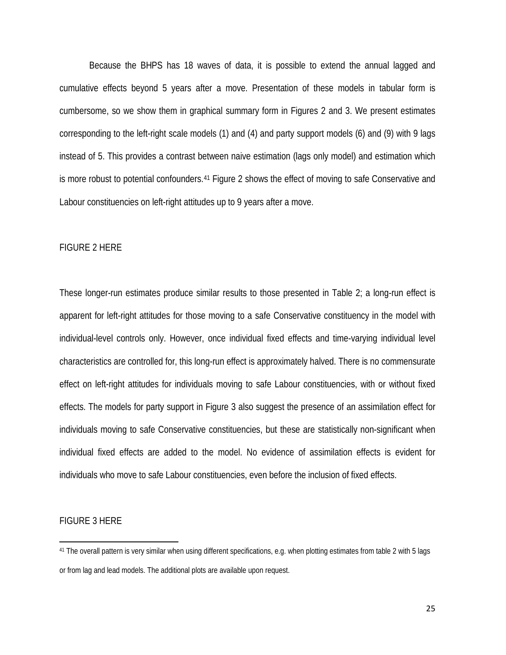Because the BHPS has 18 waves of data, it is possible to extend the annual lagged and cumulative effects beyond 5 years after a move. Presentation of these models in tabular form is cumbersome, so we show them in graphical summary form in Figures 2 and 3. We present estimates corresponding to the left-right scale models (1) and (4) and party support models (6) and (9) with 9 lags instead of 5. This provides a contrast between naive estimation (lags only model) and estimation which is more robust to potential confounders.[41](#page-25-0) Figure 2 shows the effect of moving to safe Conservative and Labour constituencies on left-right attitudes up to 9 years after a move.

#### FIGURE 2 HERE

These longer-run estimates produce similar results to those presented in Table 2; a long-run effect is apparent for left-right attitudes for those moving to a safe Conservative constituency in the model with individual-level controls only. However, once individual fixed effects and time-varying individual level characteristics are controlled for, this long-run effect is approximately halved. There is no commensurate effect on left-right attitudes for individuals moving to safe Labour constituencies, with or without fixed effects. The models for party support in Figure 3 also suggest the presence of an assimilation effect for individuals moving to safe Conservative constituencies, but these are statistically non-significant when individual fixed effects are added to the model. No evidence of assimilation effects is evident for individuals who move to safe Labour constituencies, even before the inclusion of fixed effects.

#### FIGURE 3 HERE

 $\overline{\phantom{a}}$ 

<span id="page-25-0"></span><sup>41</sup> The overall pattern is very similar when using different specifications, e.g. when plotting estimates from table 2 with 5 lags or from lag and lead models. The additional plots are available upon request.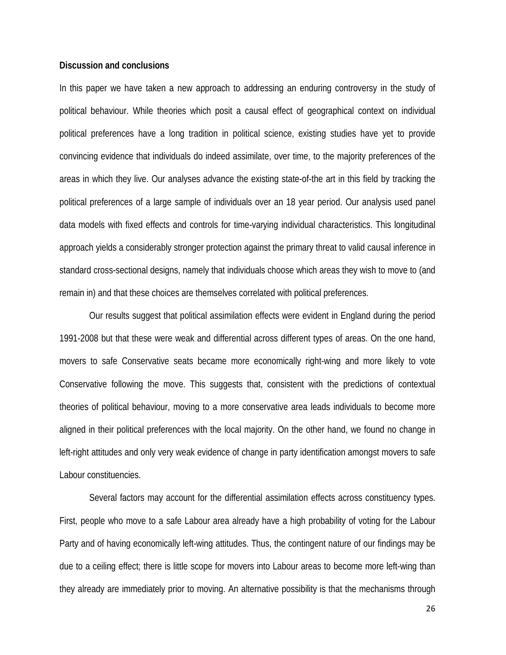#### **Discussion and conclusions**

In this paper we have taken a new approach to addressing an enduring controversy in the study of political behaviour. While theories which posit a causal effect of geographical context on individual political preferences have a long tradition in political science, existing studies have yet to provide convincing evidence that individuals do indeed assimilate, over time, to the majority preferences of the areas in which they live. Our analyses advance the existing state-of-the art in this field by tracking the political preferences of a large sample of individuals over an 18 year period. Our analysis used panel data models with fixed effects and controls for time-varying individual characteristics. This longitudinal approach yields a considerably stronger protection against the primary threat to valid causal inference in standard cross-sectional designs, namely that individuals choose which areas they wish to move to (and remain in) and that these choices are themselves correlated with political preferences.

Our results suggest that political assimilation effects were evident in England during the period 1991-2008 but that these were weak and differential across different types of areas. On the one hand, movers to safe Conservative seats became more economically right-wing and more likely to vote Conservative following the move. This suggests that, consistent with the predictions of contextual theories of political behaviour, moving to a more conservative area leads individuals to become more aligned in their political preferences with the local majority. On the other hand, we found no change in left-right attitudes and only very weak evidence of change in party identification amongst movers to safe Labour constituencies.

Several factors may account for the differential assimilation effects across constituency types. First, people who move to a safe Labour area already have a high probability of voting for the Labour Party and of having economically left-wing attitudes. Thus, the contingent nature of our findings may be due to a ceiling effect; there is little scope for movers into Labour areas to become more left-wing than they already are immediately prior to moving. An alternative possibility is that the mechanisms through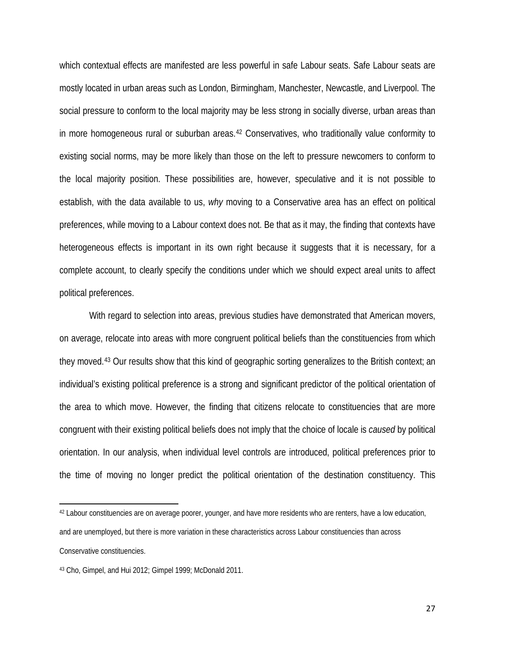which contextual effects are manifested are less powerful in safe Labour seats. Safe Labour seats are mostly located in urban areas such as London, Birmingham, Manchester, Newcastle, and Liverpool. The social pressure to conform to the local majority may be less strong in socially diverse, urban areas than in more homogeneous rural or suburban areas.[42](#page-27-0) Conservatives, who traditionally value conformity to existing social norms, may be more likely than those on the left to pressure newcomers to conform to the local majority position. These possibilities are, however, speculative and it is not possible to establish, with the data available to us, *why* moving to a Conservative area has an effect on political preferences, while moving to a Labour context does not. Be that as it may, the finding that contexts have heterogeneous effects is important in its own right because it suggests that it is necessary, for a complete account, to clearly specify the conditions under which we should expect areal units to affect political preferences.

With regard to selection into areas, previous studies have demonstrated that American movers, on average, relocate into areas with more congruent political beliefs than the constituencies from which they moved.[43](#page-27-1) Our results show that this kind of geographic sorting generalizes to the British context; an individual's existing political preference is a strong and significant predictor of the political orientation of the area to which move. However, the finding that citizens relocate to constituencies that are more congruent with their existing political beliefs does not imply that the choice of locale is *caused* by political orientation. In our analysis, when individual level controls are introduced, political preferences prior to the time of moving no longer predict the political orientation of the destination constituency. This

l

<span id="page-27-0"></span><sup>42</sup> Labour constituencies are on average poorer, younger, and have more residents who are renters, have a low education, and are unemployed, but there is more variation in these characteristics across Labour constituencies than across Conservative constituencies.

<span id="page-27-1"></span><sup>43</sup> Cho, Gimpel, and Hui 2012; Gimpel 1999; McDonald 2011.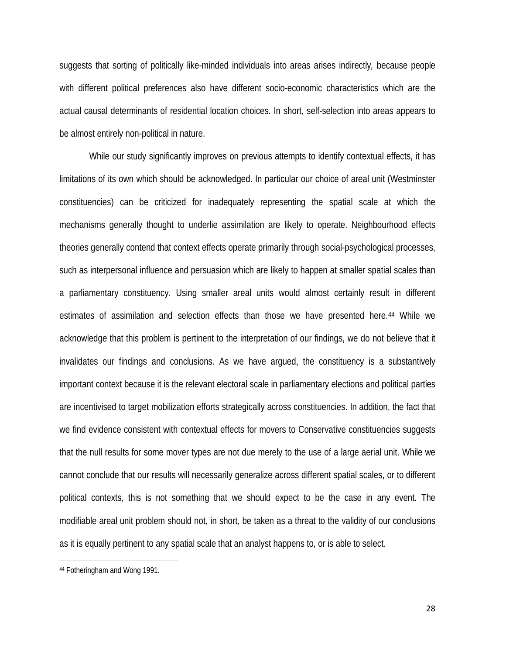suggests that sorting of politically like-minded individuals into areas arises indirectly*,* because people with different political preferences also have different socio-economic characteristics which are the actual causal determinants of residential location choices. In short, self-selection into areas appears to be almost entirely non-political in nature.

While our study significantly improves on previous attempts to identify contextual effects, it has limitations of its own which should be acknowledged. In particular our choice of areal unit (Westminster constituencies) can be criticized for inadequately representing the spatial scale at which the mechanisms generally thought to underlie assimilation are likely to operate. Neighbourhood effects theories generally contend that context effects operate primarily through social-psychological processes, such as interpersonal influence and persuasion which are likely to happen at smaller spatial scales than a parliamentary constituency. Using smaller areal units would almost certainly result in different estimates of assimilation and selection effects than those we have presented here.<sup>[44](#page-28-0)</sup> While we acknowledge that this problem is pertinent to the interpretation of our findings, we do not believe that it invalidates our findings and conclusions. As we have argued, the constituency is a substantively important context because it is the relevant electoral scale in parliamentary elections and political parties are incentivised to target mobilization efforts strategically across constituencies. In addition, the fact that we find evidence consistent with contextual effects for movers to Conservative constituencies suggests that the null results for some mover types are not due merely to the use of a large aerial unit. While we cannot conclude that our results will necessarily generalize across different spatial scales, or to different political contexts, this is not something that we should expect to be the case in any event. The modifiable areal unit problem should not, in short, be taken as a threat to the validity of our conclusions as it is equally pertinent to any spatial scale that an analyst happens to, or is able to select.

 $\overline{\phantom{a}}$ 

<span id="page-28-0"></span><sup>44</sup> Fotheringham and Wong 1991.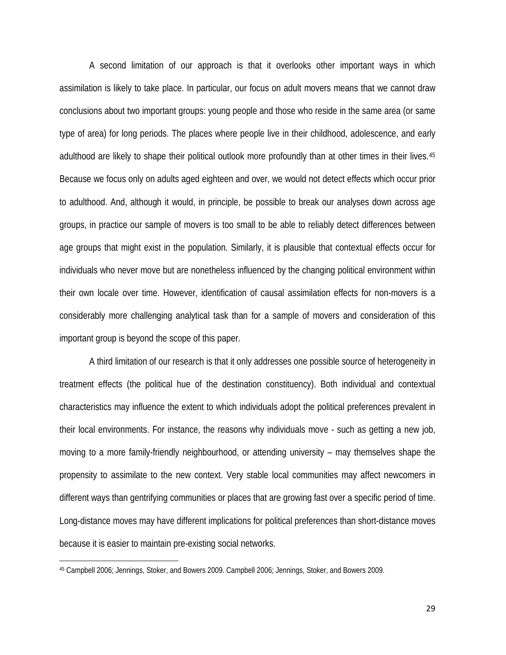A second limitation of our approach is that it overlooks other important ways in which assimilation is likely to take place. In particular, our focus on adult movers means that we cannot draw conclusions about two important groups: young people and those who reside in the same area (or same type of area) for long periods. The places where people live in their childhood, adolescence, and early adulthood are likely to shape their political outlook more profoundly than at other times in their lives.<sup>[45](#page-29-0)</sup> Because we focus only on adults aged eighteen and over, we would not detect effects which occur prior to adulthood. And, although it would, in principle, be possible to break our analyses down across age groups, in practice our sample of movers is too small to be able to reliably detect differences between age groups that might exist in the population. Similarly, it is plausible that contextual effects occur for individuals who never move but are nonetheless influenced by the changing political environment within their own locale over time. However, identification of causal assimilation effects for non-movers is a considerably more challenging analytical task than for a sample of movers and consideration of this important group is beyond the scope of this paper.

A third limitation of our research is that it only addresses one possible source of heterogeneity in treatment effects (the political hue of the destination constituency). Both individual and contextual characteristics may influence the extent to which individuals adopt the political preferences prevalent in their local environments. For instance, the reasons why individuals move - such as getting a new job, moving to a more family-friendly neighbourhood, or attending university – may themselves shape the propensity to assimilate to the new context. Very stable local communities may affect newcomers in different ways than gentrifying communities or places that are growing fast over a specific period of time. Long-distance moves may have different implications for political preferences than short-distance moves because it is easier to maintain pre-existing social networks.

 $\overline{\phantom{a}}$ 

<span id="page-29-0"></span><sup>45</sup> Campbell 2006; Jennings, Stoker, and Bowers 2009. Campbell 2006; Jennings, Stoker, and Bowers 2009.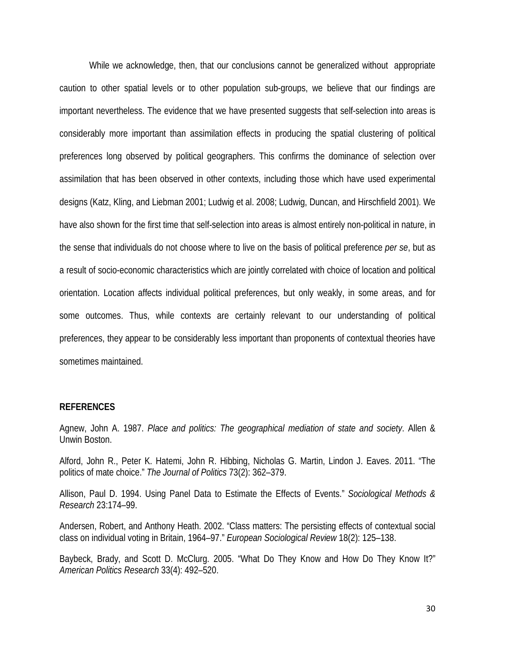While we acknowledge, then, that our conclusions cannot be generalized without appropriate caution to other spatial levels or to other population sub-groups, we believe that our findings are important nevertheless. The evidence that we have presented suggests that self-selection into areas is considerably more important than assimilation effects in producing the spatial clustering of political preferences long observed by political geographers. This confirms the dominance of selection over assimilation that has been observed in other contexts, including those which have used experimental designs (Katz, Kling, and Liebman 2001; Ludwig et al. 2008; Ludwig, Duncan, and Hirschfield 2001). We have also shown for the first time that self-selection into areas is almost entirely non-political in nature, in the sense that individuals do not choose where to live on the basis of political preference *per se*, but as a result of socio-economic characteristics which are jointly correlated with choice of location and political orientation. Location affects individual political preferences, but only weakly, in some areas, and for some outcomes. Thus, while contexts are certainly relevant to our understanding of political preferences, they appear to be considerably less important than proponents of contextual theories have sometimes maintained.

#### **REFERENCES**

Agnew, John A. 1987. *Place and politics: The geographical mediation of state and society*. Allen & Unwin Boston.

Alford, John R., Peter K. Hatemi, John R. Hibbing, Nicholas G. Martin, Lindon J. Eaves. 2011. "The politics of mate choice." *The Journal of Politics* 73(2): 362–379.

Allison, Paul D. 1994. Using Panel Data to Estimate the Effects of Events." *Sociological Methods & Research* 23:174–99.

Andersen, Robert, and Anthony Heath. 2002. "Class matters: The persisting effects of contextual social class on individual voting in Britain, 1964–97." *European Sociological Review* 18(2): 125–138.

Baybeck, Brady, and Scott D. McClurg. 2005. "What Do They Know and How Do They Know It?" *American Politics Research* 33(4): 492–520.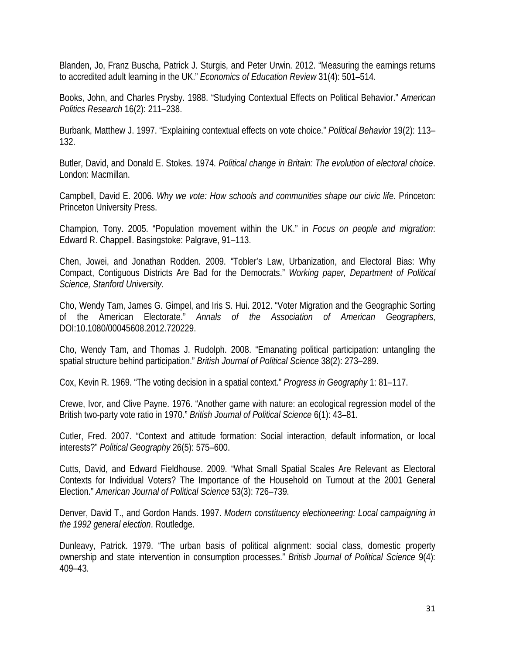Blanden, Jo, Franz Buscha, Patrick J. Sturgis, and Peter Urwin. 2012. "Measuring the earnings returns to accredited adult learning in the UK." *Economics of Education Review* 31(4): 501–514.

Books, John, and Charles Prysby. 1988. "Studying Contextual Effects on Political Behavior." *American Politics Research* 16(2): 211–238.

Burbank, Matthew J. 1997. "Explaining contextual effects on vote choice." *Political Behavior* 19(2): 113– 132.

Butler, David, and Donald E. Stokes. 1974. *Political change in Britain: The evolution of electoral choice*. London: Macmillan.

Campbell, David E. 2006. *Why we vote: How schools and communities shape our civic life*. Princeton: Princeton University Press.

Champion, Tony. 2005. "Population movement within the UK." in *Focus on people and migration*: Edward R. Chappell. Basingstoke: Palgrave, 91–113.

Chen, Jowei, and Jonathan Rodden. 2009. "Tobler's Law, Urbanization, and Electoral Bias: Why Compact, Contiguous Districts Are Bad for the Democrats." *Working paper, Department of Political Science, Stanford University*.

Cho, Wendy Tam, James G. Gimpel, and Iris S. Hui. 2012. "Voter Migration and the Geographic Sorting of the American Electorate." *Annals of the Association of American Geographers*, DOI:10.1080/00045608.2012.720229.

Cho, Wendy Tam, and Thomas J. Rudolph. 2008. "Emanating political participation: untangling the spatial structure behind participation." *British Journal of Political Science* 38(2): 273–289.

Cox, Kevin R. 1969. "The voting decision in a spatial context." *Progress in Geography* 1: 81–117.

Crewe, Ivor, and Clive Payne. 1976. "Another game with nature: an ecological regression model of the British two-party vote ratio in 1970." *British Journal of Political Science* 6(1): 43–81.

Cutler, Fred. 2007. "Context and attitude formation: Social interaction, default information, or local interests?" *Political Geography* 26(5): 575–600.

Cutts, David, and Edward Fieldhouse. 2009. "What Small Spatial Scales Are Relevant as Electoral Contexts for Individual Voters? The Importance of the Household on Turnout at the 2001 General Election." *American Journal of Political Science* 53(3): 726–739.

Denver, David T., and Gordon Hands. 1997. *Modern constituency electioneering: Local campaigning in the 1992 general election*. Routledge.

Dunleavy, Patrick. 1979. "The urban basis of political alignment: social class, domestic property ownership and state intervention in consumption processes." *British Journal of Political Science* 9(4): 409–43.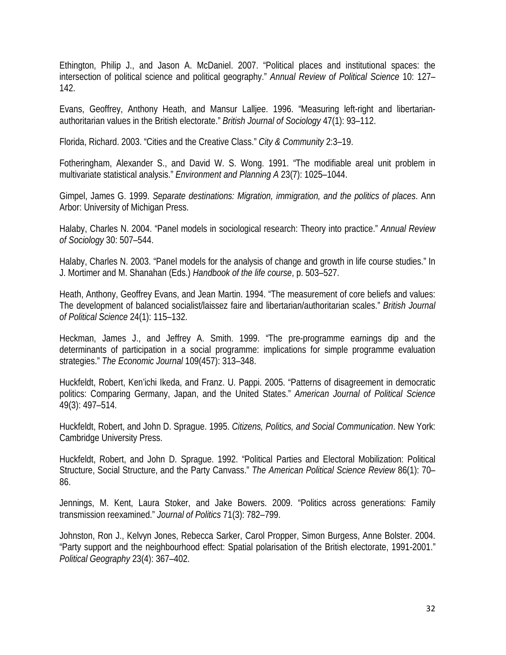Ethington, Philip J., and Jason A. McDaniel. 2007. "Political places and institutional spaces: the intersection of political science and political geography." *Annual Review of Political Science* 10: 127– 142.

Evans, Geoffrey, Anthony Heath, and Mansur Lalljee. 1996. "Measuring left-right and libertarianauthoritarian values in the British electorate." *British Journal of Sociology* 47(1): 93–112.

Florida, Richard. 2003. "Cities and the Creative Class." *City & Community* 2:3–19.

Fotheringham, Alexander S., and David W. S. Wong. 1991. "The modifiable areal unit problem in multivariate statistical analysis." *Environment and Planning A* 23(7): 1025–1044.

Gimpel, James G. 1999. *Separate destinations: Migration, immigration, and the politics of places*. Ann Arbor: University of Michigan Press.

Halaby, Charles N. 2004. "Panel models in sociological research: Theory into practice." *Annual Review of Sociology* 30: 507–544.

Halaby, Charles N. 2003. "Panel models for the analysis of change and growth in life course studies." In J. Mortimer and M. Shanahan (Eds.) *Handbook of the life course*, p. 503–527.

Heath, Anthony, Geoffrey Evans, and Jean Martin. 1994. "The measurement of core beliefs and values: The development of balanced socialist/laissez faire and libertarian/authoritarian scales." *British Journal of Political Science* 24(1): 115–132.

Heckman, James J., and Jeffrey A. Smith. 1999. "The pre-programme earnings dip and the determinants of participation in a social programme: implications for simple programme evaluation strategies." *The Economic Journal* 109(457): 313–348.

Huckfeldt, Robert, Ken'ichi Ikeda, and Franz. U. Pappi. 2005. "Patterns of disagreement in democratic politics: Comparing Germany, Japan, and the United States." *American Journal of Political Science* 49(3): 497–514.

Huckfeldt, Robert, and John D. Sprague. 1995. *Citizens, Politics, and Social Communication*. New York: Cambridge University Press.

Huckfeldt, Robert, and John D. Sprague. 1992. "Political Parties and Electoral Mobilization: Political Structure, Social Structure, and the Party Canvass." *The American Political Science Review* 86(1): 70– 86.

Jennings, M. Kent, Laura Stoker, and Jake Bowers. 2009. "Politics across generations: Family transmission reexamined." *Journal of Politics* 71(3): 782–799.

Johnston, Ron J., Kelvyn Jones, Rebecca Sarker, Carol Propper, Simon Burgess, Anne Bolster. 2004. "Party support and the neighbourhood effect: Spatial polarisation of the British electorate, 1991-2001." *Political Geography* 23(4): 367–402.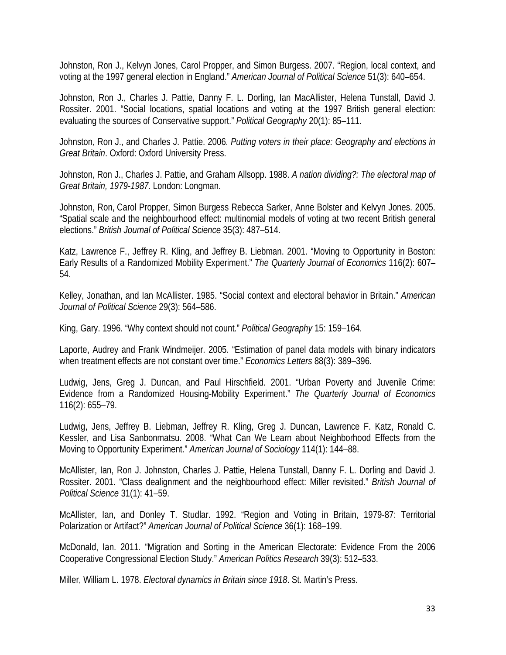Johnston, Ron J., Kelvyn Jones, Carol Propper, and Simon Burgess. 2007. "Region, local context, and voting at the 1997 general election in England." *American Journal of Political Science* 51(3): 640–654.

Johnston, Ron J., Charles J. Pattie, Danny F. L. Dorling, Ian MacAllister, Helena Tunstall, David J. Rossiter. 2001. "Social locations, spatial locations and voting at the 1997 British general election: evaluating the sources of Conservative support." *Political Geography* 20(1): 85–111.

Johnston, Ron J., and Charles J. Pattie. 2006. *Putting voters in their place: Geography and elections in Great Britain*. Oxford: Oxford University Press.

Johnston, Ron J., Charles J. Pattie, and Graham Allsopp. 1988. *A nation dividing?: The electoral map of Great Britain, 1979-1987*. London: Longman.

Johnston, Ron, Carol Propper, Simon Burgess Rebecca Sarker, Anne Bolster and Kelvyn Jones. 2005. "Spatial scale and the neighbourhood effect: multinomial models of voting at two recent British general elections." *British Journal of Political Science* 35(3): 487–514.

Katz, Lawrence F., Jeffrey R. Kling, and Jeffrey B. Liebman. 2001. "Moving to Opportunity in Boston: Early Results of a Randomized Mobility Experiment." *The Quarterly Journal of Economics* 116(2): 607– 54.

Kelley, Jonathan, and Ian McAllister. 1985. "Social context and electoral behavior in Britain." *American Journal of Political Science* 29(3): 564–586.

King, Gary. 1996. "Why context should not count." *Political Geography* 15: 159–164.

Laporte, Audrey and Frank Windmeijer. 2005. "Estimation of panel data models with binary indicators when treatment effects are not constant over time." *Economics Letters* 88(3): 389–396.

Ludwig, Jens, Greg J. Duncan, and Paul Hirschfield. 2001. "Urban Poverty and Juvenile Crime: Evidence from a Randomized Housing-Mobility Experiment." *The Quarterly Journal of Economics* 116(2): 655–79.

Ludwig, Jens, Jeffrey B. Liebman, Jeffrey R. Kling, Greg J. Duncan, Lawrence F. Katz, Ronald C. Kessler, and Lisa Sanbonmatsu. 2008. "What Can We Learn about Neighborhood Effects from the Moving to Opportunity Experiment." *American Journal of Sociology* 114(1): 144–88.

McAllister, Ian, Ron J. Johnston, Charles J. Pattie, Helena Tunstall, Danny F. L. Dorling and David J. Rossiter. 2001. "Class dealignment and the neighbourhood effect: Miller revisited." *British Journal of Political Science* 31(1): 41–59.

McAllister, Ian, and Donley T. Studlar. 1992. "Region and Voting in Britain, 1979-87: Territorial Polarization or Artifact?" *American Journal of Political Science* 36(1): 168–199.

McDonald, Ian. 2011. "Migration and Sorting in the American Electorate: Evidence From the 2006 Cooperative Congressional Election Study." *American Politics Research* 39(3): 512–533.

Miller, William L. 1978. *Electoral dynamics in Britain since 1918*. St. Martin's Press.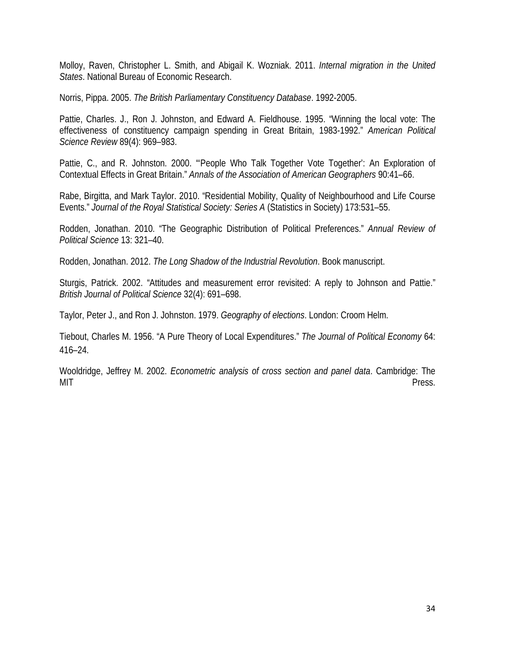Molloy, Raven, Christopher L. Smith, and Abigail K. Wozniak. 2011. *Internal migration in the United States*. National Bureau of Economic Research.

Norris, Pippa. 2005. *The British Parliamentary Constituency Database*. 1992-2005.

Pattie, Charles. J., Ron J. Johnston, and Edward A. Fieldhouse. 1995. "Winning the local vote: The effectiveness of constituency campaign spending in Great Britain, 1983-1992." *American Political Science Review* 89(4): 969–983.

Pattie, C., and R. Johnston. 2000. "'People Who Talk Together Vote Together': An Exploration of Contextual Effects in Great Britain." *Annals of the Association of American Geographers* 90:41–66.

Rabe, Birgitta, and Mark Taylor. 2010. "Residential Mobility, Quality of Neighbourhood and Life Course Events." *Journal of the Royal Statistical Society: Series A* (Statistics in Society) 173:531–55.

Rodden, Jonathan. 2010. "The Geographic Distribution of Political Preferences." *Annual Review of Political Science* 13: 321–40.

Rodden, Jonathan. 2012. *The Long Shadow of the Industrial Revolution*. Book manuscript.

Sturgis, Patrick. 2002. "Attitudes and measurement error revisited: A reply to Johnson and Pattie." *British Journal of Political Science* 32(4): 691–698.

Taylor, Peter J., and Ron J. Johnston. 1979. *Geography of elections*. London: Croom Helm.

Tiebout, Charles M. 1956. "A Pure Theory of Local Expenditures." *The Journal of Political Economy* 64: 416–24.

Wooldridge, Jeffrey M. 2002. *Econometric analysis of cross section and panel data*. Cambridge: The MIT Press.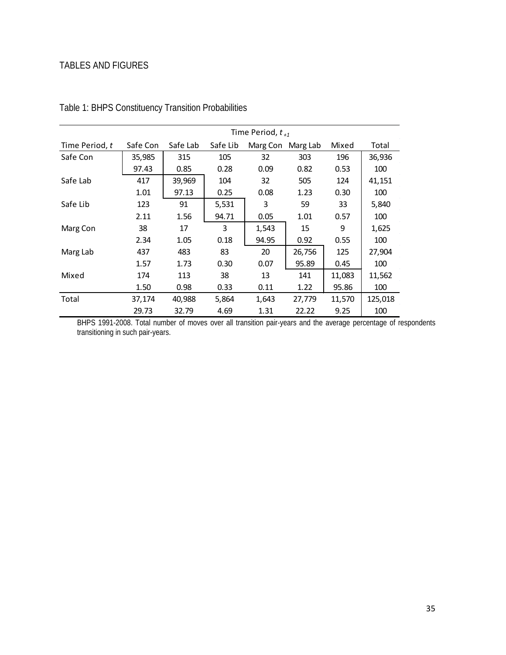## TABLES AND FIGURES

|                |          | Time Period, $t_{+1}$ |          |                   |        |        |         |
|----------------|----------|-----------------------|----------|-------------------|--------|--------|---------|
| Time Period, t | Safe Con | Safe Lab              | Safe Lib | Marg Con Marg Lab |        | Mixed  | Total   |
| Safe Con       | 35,985   | 315                   | 105      | 32                | 303    | 196    | 36,936  |
|                | 97.43    | 0.85                  | 0.28     | 0.09              | 0.82   | 0.53   | 100     |
| Safe Lab       | 417      | 39,969                | 104      | 32                | 505    | 124    | 41,151  |
|                | 1.01     | 97.13                 | 0.25     | 0.08              | 1.23   | 0.30   | 100     |
| Safe Lib       | 123      | 91                    | 5,531    | 3                 | 59     | 33     | 5,840   |
|                | 2.11     | 1.56                  | 94.71    | 0.05              | 1.01   | 0.57   | 100     |
| Marg Con       | 38       | 17                    | 3        | 1,543             | 15     | 9      | 1,625   |
|                | 2.34     | 1.05                  | 0.18     | 94.95             | 0.92   | 0.55   | 100     |
| Marg Lab       | 437      | 483                   | 83       | 20                | 26,756 | 125    | 27,904  |
|                | 1.57     | 1.73                  | 0.30     | 0.07              | 95.89  | 0.45   | 100     |
| Mixed          | 174      | 113                   | 38       | 13                | 141    | 11,083 | 11,562  |
|                | 1.50     | 0.98                  | 0.33     | 0.11              | 1.22   | 95.86  | 100     |
| Total          | 37,174   | 40,988                | 5,864    | 1,643             | 27,779 | 11,570 | 125,018 |
|                | 29.73    | 32.79                 | 4.69     | 1.31              | 22.22  | 9.25   | 100     |

Table 1: BHPS Constituency Transition Probabilities

BHPS 1991-2008. Total number of moves over all transition pair-years and the average percentage of respondents transitioning in such pair-years.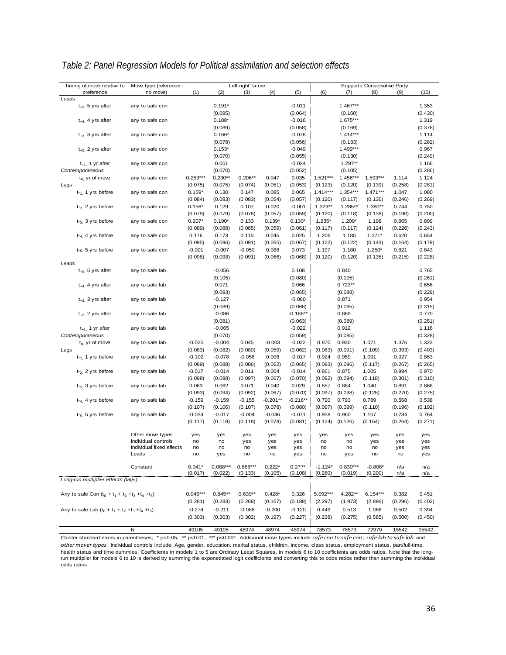| Timing of move relative to                            | Move type (reference -                          |            |            | Left-right' score |             |            |            |            | Supports Conservative Party |           |            |
|-------------------------------------------------------|-------------------------------------------------|------------|------------|-------------------|-------------|------------|------------|------------|-----------------------------|-----------|------------|
| preference                                            | no move)                                        | (1)        | (2)        | (3)               | (4)         | (5)        | (6)        | (7)        | (8)                         | (9)       | (10)       |
| Leads                                                 |                                                 |            |            |                   |             |            |            |            |                             |           |            |
| $t_{+5}$ , 5 yrs after                                | any to safe con                                 |            | $0.191*$   |                   |             | $-0.011$   |            | $1.467***$ |                             |           | 1.353      |
|                                                       |                                                 |            | (0.095)    |                   |             | (0.064)    |            | (0.160)    |                             |           | (0.430)    |
| $t_{+4}$ , 4 yrs after                                | any to safe con                                 |            | $0.188*$   |                   |             | $-0.016$   |            | 1.675***   |                             |           | 1.319      |
|                                                       |                                                 |            | (0.089)    |                   |             | (0.058)    |            | (0.169)    |                             |           | (0.376)    |
| $t_{+3}$ 3 yrs after                                  | any to safe con                                 |            | $0.166*$   |                   |             | $-0.078$   |            | $1.414***$ |                             |           | 1.114      |
|                                                       |                                                 |            | (0.078)    |                   |             | (0.056)    |            | (0.133)    |                             |           | (0.282)    |
| $t_{+2}$ , 2 yrs after                                | any to safe con                                 |            | $0.153*$   |                   |             | $-0.049$   |            | 1.499***   |                             |           | 0.967      |
|                                                       |                                                 |            | (0.070)    |                   |             | (0.055)    |            | (0.130)    |                             |           | (0.249)    |
| $t_{+1}$ , 1 yr after                                 | any to safe con                                 |            | 0.051      |                   |             | $-0.024$   |            | $1.297**$  |                             |           | 1.166      |
| Contemporaneous                                       |                                                 |            | (0.070)    |                   |             | (0.052)    |            | (0.105)    |                             |           | (0.286)    |
| $t_0$ yr of move                                      | any to safe con                                 | $0.253***$ | $0.230**$  | $0.206**$         | 0.047       | 0.035      | $1.521***$ | 1.456***   | 1.593***                    | 1.114     | 1.124      |
| Lags                                                  |                                                 | (0.075)    | (0.075)    | (0.074)           | (0.051)     | (0.053)    | (0.123)    | (0.120)    | (0.139)                     | (0.258)   | (0.281)    |
| $t_{-1}$ 1 yrs before                                 | any to safe con                                 | $0.159*$   | 0.130      | 0.147             | 0.085       | 0.065      | $1.414***$ | $1.354***$ | $1.471***$                  | 1.047     | 1.080      |
|                                                       |                                                 | (0.084)    | (0.083)    | (0.083)           | (0.054)     | (0.057)    | (0.120)    | (0.117)    | (0.136)                     | (0.246)   | (0.269)    |
| $t_{2}$ 2 yrs before                                  | any to safe con                                 | $0.156*$   | 0.129      | 0.107             | 0.020       | $-0.001$   | $1.329**$  | $1.285**$  | $1.380**$                   | 0.744     | 0.750      |
|                                                       |                                                 | (0.079)    | (0.079)    | (0.076)           | (0.057)     | (0.059)    | (0.120)    | (0.118)    | (0.138)                     | (0.190)   | (0.200)    |
| $t_{-3}$ 3 yrs before                                 | any to safe con                                 | $0.207*$   | $0.190*$   | 0.133             | $0.139*$    | $0.130*$   | $1.235*$   | $1.209*$   | 1.198                       | 0.865     | 0.899      |
|                                                       |                                                 | (0.089)    | (0.088)    | (0.085)           | (0.059)     | (0.061)    | (0.117)    | (0.117)    | (0.124)                     | (0.226)   | (0.243)    |
| $t_{-4}$ , 4 yrs before                               | any to safe con                                 | 0.176      | 0.173      | 0.115             | 0.045       | 0.025      | 1.206      | 1.185      | $1.271*$                    | 0.620     | 0.654      |
|                                                       |                                                 | (0.095)    | (0.096)    | (0.091)           | (0.065)     | (0.067)    | (0.122)    | (0.122)    | (0.143)                     | (0.164)   | (0.179)    |
| $t_{-5}$ , 5 yrs before                               | any to safe con                                 | $-0.001$   | $-0.007$   | $-0.050$          | 0.088       | 0.073      | 1.197      | 1.180      | $1.250*$                    | 0.821     | 0.843      |
| Leads                                                 |                                                 | (0.098)    | (0.098)    | (0.091)           | (0.066)     | (0.068)    | (0.120)    | (0.120)    | (0.135)                     | (0.215)   | (0.228)    |
| $t_{+5}$ , 5 yrs after                                | any to safe lab                                 |            | $-0.056$   |                   |             | 0.108      |            | 0.840      |                             |           | 0.765      |
|                                                       |                                                 |            | (0.105)    |                   |             | (0.080)    |            | (0.105)    |                             |           | (0.261)    |
| $t_{+4}$ , 4 yrs after                                | any to safe lab                                 |            | 0.071      |                   |             | 0.066      |            | $0.723**$  |                             |           | 0.656      |
|                                                       |                                                 |            | (0.093)    |                   |             | (0.065)    |            | (0.088)    |                             |           | (0.229)    |
| $t_{+3}$ , 3 yrs after                                | any to safe lab                                 |            | $-0.127$   |                   |             | $-0.060$   |            | 0.871      |                             |           | 0.954      |
|                                                       |                                                 |            | (0.089)    |                   |             | (0.068)    |            | (0.095)    |                             |           | (0.315)    |
| $t_{+2}$ , 2 yrs after                                | any to safe lab                                 |            | $-0.086$   |                   |             | $-0.166**$ |            | 0.869      |                             |           | 0.770      |
|                                                       |                                                 |            | (0.081)    |                   |             | (0.063)    |            | (0.089)    |                             |           | (0.251)    |
| $t_{+1}$ , 1 yr after                                 | any to safe lab                                 |            | $-0.065$   |                   |             | $-0.022$   |            | 0.912      |                             |           | 1.116      |
| Contemporaneous                                       |                                                 |            | (0.070)    |                   |             | (0.059)    |            | (0.085)    |                             |           | (0.328)    |
| $t_0$ yr of move                                      | any to safe lab                                 | $-0.025$   | $-0.004$   | 0.045             | $-0.003$    | $-0.022$   | 0.870      | 0.930      | 1.071                       | 1.376     | 1.323      |
| Lags                                                  |                                                 | (0.083)    | (0.082)    | (0.080)           | (0.059)     | (0.062)    | (0.083)    | (0.091)    | (0.109)                     | (0.393)   | (0.403)    |
| $t_{-1}$ , 1 yrs before                               | any to safe lab                                 | $-0.102$   | $-0.078$   | $-0.056$          | 0.006       | $-0.017$   | 0.924      | 0.959      | 1.091                       | 0.927     | 0.863      |
|                                                       |                                                 | (0.089)    | (0.088)    | (0.086)           | (0.062)     | (0.065)    | (0.093)    | (0.096)    | (0.117)                     | (0.267)   | (0.265)    |
| $t_{2}$ 2 yrs before                                  | any to safe lab                                 | $-0.017$   | $-0.014$   | 0.011             | 0.004       | $-0.014$   | 0.861      | 0.875      | 1.005                       | 0.994     | 0.970      |
|                                                       |                                                 | (0.098)    | (0.098)    | (0.097)           | (0.067)     | (0.070)    | (0.092)    | (0.094)    | (0.118)                     | (0.301)   | (0.310)    |
| $t_{-3}$ , 3 yrs before                               | any to safe lab                                 | 0.063      | 0.062      | 0.071             | 0.040       | 0.029      | 0.857      | 0.864      | 1.040                       | 0.891     | 0.866      |
|                                                       |                                                 | (0.093)    | (0.094)    | (0.092)           | (0.067)     | (0.070)    | (0.097)    | (0.098)    | (0.125)                     | (0.270)   | (0.275)    |
| $t_{-4}$ 4 yrs before                                 | any to safe lab                                 | $-0.159$   | $-0.159$   | $-0.155$          | $-0.201***$ | $-0.216**$ | 0.790      | 0.793      | 0.789                       | 0.568     | 0.538      |
|                                                       |                                                 | (0.107)    | (0.106)    | (0.107)           | (0.078)     | (0.080)    | (0.097)    | (0.099)    | (0.110)                     | (0.196)   | (0.192)    |
| $t_{-5}$ , 5 yrs before                               | any to safe lab                                 | $-0.034$   | $-0.017$   | $-0.004$          | $-0.046$    | $-0.071$   | 0.958      | 0.960      | 1.107                       | 0.784     | 0.764      |
|                                                       |                                                 | (0.117)    | (0.118)    | (0.118)           | (0.078)     | (0.081)    | (0.124)    | (0.126)    | (0.154)                     | (0.264)   | (0.271)    |
|                                                       |                                                 |            |            |                   |             |            |            |            |                             |           |            |
|                                                       | Other move types                                | yes        | yes        | yes               | yes         | yes        | yes        | yes        | yes                         | yes       | yes        |
|                                                       | Individual controls<br>Individual fixed effects | no<br>no   | no<br>no   | yes<br>no         | yes         | yes<br>yes | no<br>no   | no<br>no   | yes<br>no                   | yes       | yes<br>yes |
|                                                       | Leads                                           | no         | yes        | no                | yes<br>no   | yes        | no         | yes        | no                          | yes<br>no | yes        |
|                                                       |                                                 |            |            |                   |             |            |            |            |                             |           |            |
|                                                       | Constant                                        | $0.041*$   | $0.088***$ | $0.665***$        | $0.222*$    | $0.277*$   | $-1.124*$  | $0.830***$ | $-0.808*$                   | n/a       | n/a        |
|                                                       |                                                 | (0.017)    | (0.022)    | (0.133)           | (0.105)     | (0.108)    | (0.260)    | (0.019)    | (0.200)                     | n/a       | <u>n/a</u> |
| Long-run multiplier effects (lags)                    |                                                 |            |            |                   |             |            |            |            |                             |           |            |
|                                                       |                                                 |            |            |                   |             |            |            |            |                             |           |            |
| Any to safe Con $(t_0 + t_1 + t_2 + t_3 + t_4 + t_5)$ |                                                 | $0.945***$ | $0.845**$  | $0.639**$         | $0.428*$    | 0.326      | 5.092***   | 4.282**    | $6.154***$                  | 0.382     | 0.451      |
|                                                       |                                                 | (0.281)    | (0.283)    | (0.268)           | (0.167)     | (0.188)    | (2.297)    | (1.973)    | (2.896)                     | (0.296)   | (0.402)    |
| Any to safe Lab $(t_0 + t_1 + t_2 + t_3 + t_4 + t_5)$ |                                                 | $-0.274$   | $-0.211$   | $-0.088$          | $-0.200$    | $-0.120$   | 0.449      | 0.513      | 1.066                       | 0.502     | 0.394      |
|                                                       |                                                 | (0.303)    | (0.303)    | (0.302)           | (0.197)     | (0.227)    | (0.238)    | (0.275)    | (0.585)                     | (0.500)   | (0.450)    |
|                                                       |                                                 |            |            |                   |             |            |            |            |                             |           |            |
|                                                       | N                                               | 49105      | 49105      | 48974             | 48974       | 48974      | 78573      | 78573      | 72979                       | 15542     | 15542      |

### *Table 2: Panel Regression Models for Political assimilation and selection effects*

Cluster standard errors in parentheses; \* p<0.05, \*\* p<0.01, \*\*\* p<0.001. Additional move types include *safe con to safe con* , *safe lab to safe lab* and *other mover types*. Individual controls include: Age, gender, education, marital status, children, income, class status, employment status, part/full-time, health status and time dummies. Coefficients in models 1 to 5 are Ordinary Least Squares, in models 6 to 10 coefficients are odds ratios. Note that the longrun multiplier for models 6 to 10 is derived by summing the exponetiated logit coefficients and converting this to odds ratios rather than summing the individual odds ratios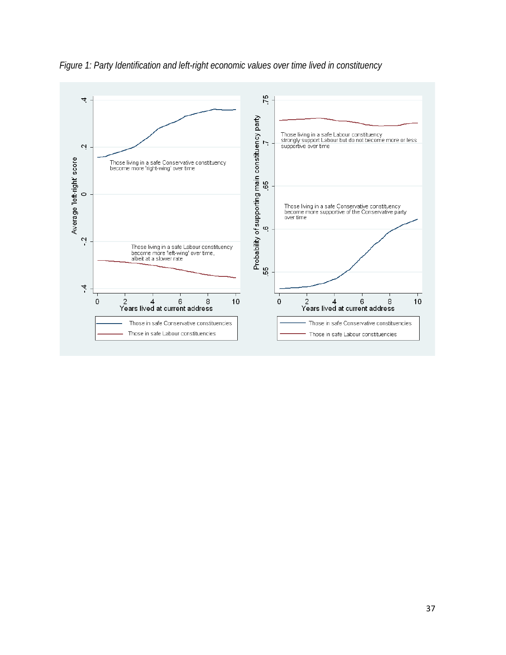

*Figure 1: Party Identification and left-right economic values over time lived in constituency*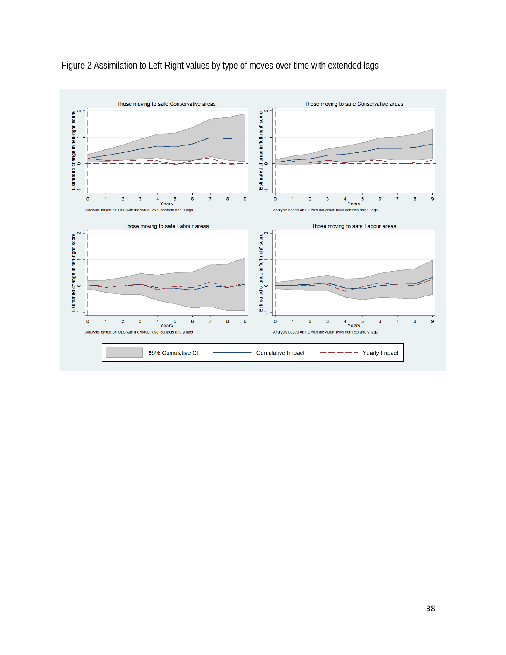

Figure 2 Assimilation to Left-Right values by type of moves over time with extended lags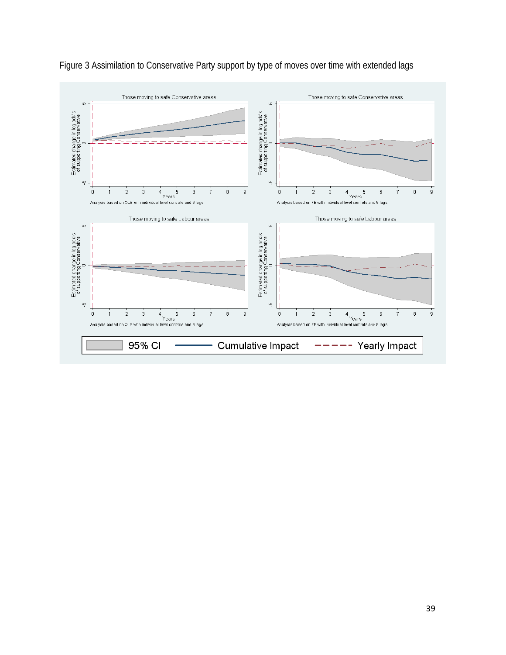

Figure 3 Assimilation to Conservative Party support by type of moves over time with extended lags